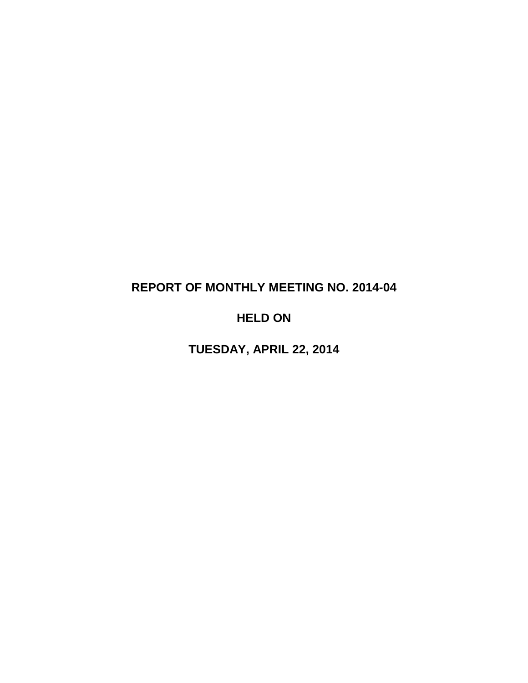# **REPORT OF MONTHLY MEETING NO. 2014-04**

# **HELD ON**

**TUESDAY, APRIL 22, 2014**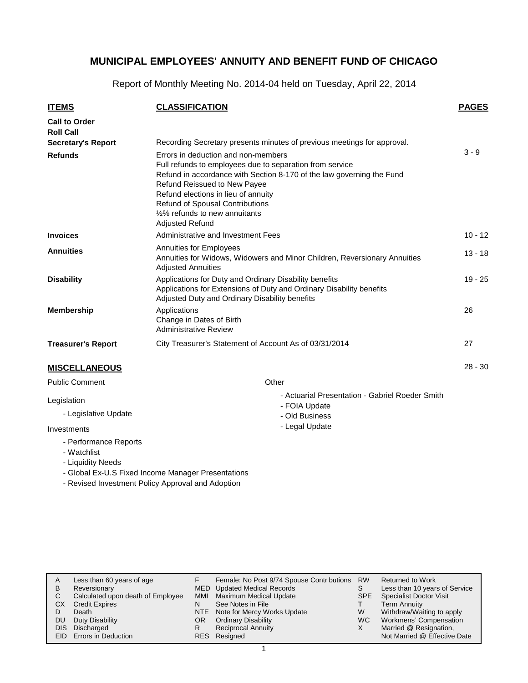Report of Monthly Meeting No. 2014-04 held on Tuesday, April 22, 2014

| <b>ITEMS</b>                             | <b>CLASSIFICATION</b>                                                                                                                                                                                                                                                                                                                                 | <b>PAGES</b> |
|------------------------------------------|-------------------------------------------------------------------------------------------------------------------------------------------------------------------------------------------------------------------------------------------------------------------------------------------------------------------------------------------------------|--------------|
| <b>Call to Order</b><br><b>Roll Call</b> |                                                                                                                                                                                                                                                                                                                                                       |              |
| <b>Secretary's Report</b>                | Recording Secretary presents minutes of previous meetings for approval.                                                                                                                                                                                                                                                                               |              |
| <b>Refunds</b>                           | Errors in deduction and non-members<br>Full refunds to employees due to separation from service<br>Refund in accordance with Section 8-170 of the law governing the Fund<br>Refund Reissued to New Payee<br>Refund elections in lieu of annuity<br><b>Refund of Spousal Contributions</b><br>1/2% refunds to new annuitants<br><b>Adjusted Refund</b> | $3 - 9$      |
| <b>Invoices</b>                          | Administrative and Investment Fees                                                                                                                                                                                                                                                                                                                    | $10 - 12$    |
| <b>Annuities</b>                         | <b>Annuities for Employees</b><br>Annuities for Widows, Widowers and Minor Children, Reversionary Annuities<br><b>Adjusted Annuities</b>                                                                                                                                                                                                              | $13 - 18$    |
| <b>Disability</b>                        | Applications for Duty and Ordinary Disability benefits<br>Applications for Extensions of Duty and Ordinary Disability benefits<br>Adjusted Duty and Ordinary Disability benefits                                                                                                                                                                      | $19 - 25$    |
| <b>Membership</b>                        | Applications<br>Change in Dates of Birth<br><b>Administrative Review</b>                                                                                                                                                                                                                                                                              | 26           |
| <b>Treasurer's Report</b>                | City Treasurer's Statement of Account As of 03/31/2014                                                                                                                                                                                                                                                                                                | 27           |
| <b>MISCELLANEOUS</b>                     |                                                                                                                                                                                                                                                                                                                                                       | $28 - 30$    |
| <b>Public Comment</b>                    | Other                                                                                                                                                                                                                                                                                                                                                 |              |
| Legislation                              | - Actuarial Presentation - Gabriel Roeder Smith<br>- FOIA Update                                                                                                                                                                                                                                                                                      |              |

- Old Business - Legal Update

- Legislative Update

Investments

- Performance Reports
- Watchlist
- Liquidity Needs
- Global Ex-U.S Fixed Income Manager Presentations
- Revised Investment Policy Approval and Adoption

| A    | Less than 60 years of age         |            | Female: No Post 9/74 Spouse Contr butions | <b>RW</b> | <b>Returned to Work</b>        |
|------|-----------------------------------|------------|-------------------------------------------|-----------|--------------------------------|
| в    | Reversionary                      |            | MED Updated Medical Records               | S         | Less than 10 years of Service  |
| С    | Calculated upon death of Employee | <b>MMI</b> | Maximum Medical Update                    | SPE       | <b>Specialist Doctor Visit</b> |
| CХ   | <b>Credit Expires</b>             | N          | See Notes in File                         |           | <b>Term Annuity</b>            |
|      | Death                             |            | NTE Note for Mercy Works Update           | W         | Withdraw/Waiting to apply      |
| DU   | Duty Disability                   | OR.        | <b>Ordinary Disability</b>                | WC.       | Workmens' Compensation         |
| DIS  | Discharged                        | R          | <b>Reciprocal Annuity</b>                 |           | Married @ Resignation,         |
| FID. | <b>Errors in Deduction</b>        |            | RES Resigned                              |           | Not Married @ Effective Date   |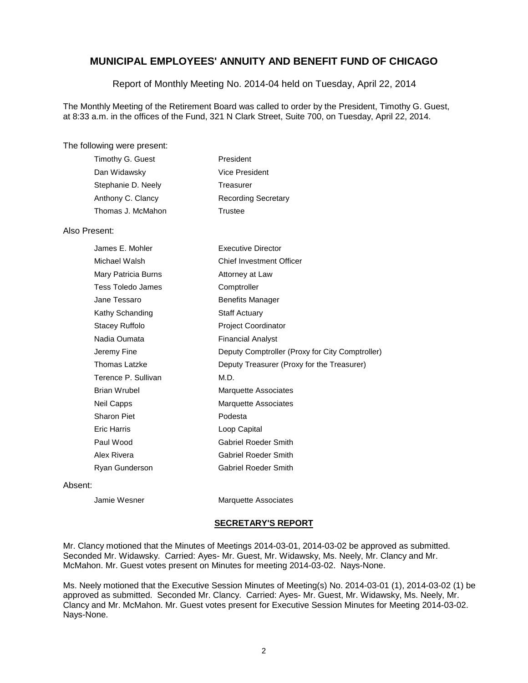Report of Monthly Meeting No. 2014-04 held on Tuesday, April 22, 2014

The Monthly Meeting of the Retirement Board was called to order by the President, Timothy G. Guest, at 8:33 a.m. in the offices of the Fund, 321 N Clark Street, Suite 700, on Tuesday, April 22, 2014.

### The following were present:

| Timothy G. Guest   | President                  |
|--------------------|----------------------------|
| Dan Widawsky       | Vice President             |
| Stephanie D. Neely | Treasurer                  |
| Anthony C. Clancy  | <b>Recording Secretary</b> |
| Thomas J. McMahon  | Trustee                    |

### Also Present:

| James E. Mohler     | Executive Director                              |
|---------------------|-------------------------------------------------|
| Michael Walsh       | <b>Chief Investment Officer</b>                 |
| Mary Patricia Burns | Attorney at Law                                 |
| Tess Toledo James   | Comptroller                                     |
| Jane Tessaro        | Benefits Manager                                |
| Kathy Schanding     | <b>Staff Actuary</b>                            |
| Stacey Ruffolo      | <b>Project Coordinator</b>                      |
| Nadia Oumata        | <b>Financial Analyst</b>                        |
| Jeremy Fine         | Deputy Comptroller (Proxy for City Comptroller) |
| Thomas Latzke       | Deputy Treasurer (Proxy for the Treasurer)      |
| Terence P. Sullivan | M.D.                                            |
| Brian Wrubel        | Marquette Associates                            |
| Neil Capps          | Marquette Associates                            |
| Sharon Piet         | Podesta                                         |
| Eric Harris         | Loop Capital                                    |
| Paul Wood           | <b>Gabriel Roeder Smith</b>                     |
| Alex Rivera         | Gabriel Roeder Smith                            |
| Ryan Gunderson      | <b>Gabriel Roeder Smith</b>                     |

#### Absent:

Jamie Wesner **Marquette Associates** 

### **SECRETARY'S REPORT**

Mr. Clancy motioned that the Minutes of Meetings 2014-03-01, 2014-03-02 be approved as submitted. Seconded Mr. Widawsky. Carried: Ayes- Mr. Guest, Mr. Widawsky, Ms. Neely, Mr. Clancy and Mr. McMahon. Mr. Guest votes present on Minutes for meeting 2014-03-02. Nays-None.

Ms. Neely motioned that the Executive Session Minutes of Meeting(s) No. 2014-03-01 (1), 2014-03-02 (1) be approved as submitted. Seconded Mr. Clancy. Carried: Ayes- Mr. Guest, Mr. Widawsky, Ms. Neely, Mr. Clancy and Mr. McMahon. Mr. Guest votes present for Executive Session Minutes for Meeting 2014-03-02. Nays-None.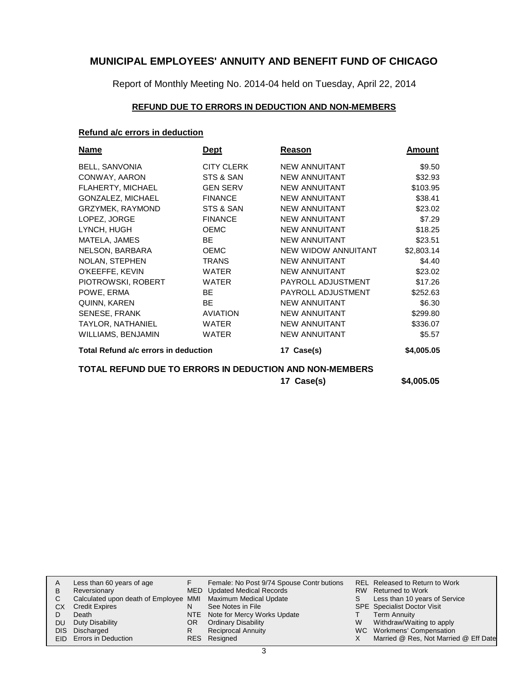Report of Monthly Meeting No. 2014-04 held on Tuesday, April 22, 2014

## **REFUND DUE TO ERRORS IN DEDUCTION AND NON-MEMBERS**

## **Refund a/c errors in deduction**

| <b>Name</b>                          | <u>Dept</u>       | Reason               | Amount     |
|--------------------------------------|-------------------|----------------------|------------|
| BELL, SANVONIA                       | <b>CITY CLERK</b> | <b>NEW ANNUITANT</b> | \$9.50     |
| CONWAY, AARON                        | STS & SAN         | <b>NEW ANNUITANT</b> | \$32.93    |
| <b>FLAHERTY, MICHAEL</b>             | <b>GEN SERV</b>   | <b>NEW ANNUITANT</b> | \$103.95   |
| <b>GONZALEZ, MICHAEL</b>             | <b>FINANCE</b>    | <b>NEW ANNUITANT</b> | \$38.41    |
| GRZYMEK, RAYMOND                     | STS & SAN         | <b>NEW ANNUITANT</b> | \$23.02    |
| LOPEZ, JORGE                         | <b>FINANCE</b>    | <b>NEW ANNUITANT</b> | \$7.29     |
| LYNCH, HUGH                          | <b>OEMC</b>       | <b>NEW ANNUITANT</b> | \$18.25    |
| MATELA, JAMES                        | <b>BE</b>         | <b>NEW ANNUITANT</b> | \$23.51    |
| NELSON, BARBARA                      | <b>OEMC</b>       | NEW WIDOW ANNUITANT  | \$2,803.14 |
| <b>NOLAN, STEPHEN</b>                | <b>TRANS</b>      | <b>NEW ANNUITANT</b> | \$4.40     |
| O'KEEFFE, KEVIN                      | <b>WATER</b>      | <b>NEW ANNUITANT</b> | \$23.02    |
| PIOTROWSKI, ROBERT                   | <b>WATER</b>      | PAYROLL ADJUSTMENT   | \$17.26    |
| POWE, ERMA                           | <b>BE</b>         | PAYROLL ADJUSTMENT   | \$252.63   |
| QUINN, KAREN                         | BE.               | <b>NEW ANNUITANT</b> | \$6.30     |
| <b>SENESE, FRANK</b>                 | <b>AVIATION</b>   | <b>NEW ANNUITANT</b> | \$299.80   |
| TAYLOR, NATHANIEL                    | <b>WATER</b>      | <b>NEW ANNUITANT</b> | \$336.07   |
| <b>WILLIAMS, BENJAMIN</b>            | <b>WATER</b>      | <b>NEW ANNUITANT</b> | \$5.57     |
| Total Refund a/c errors in deduction |                   | 17 Case(s)           | \$4,005.05 |

## **TOTAL REFUND DUE TO ERRORS IN DEDUCTION AND NON-MEMBERS**

**17 Case(s) \$4,005.05**

| A    | Less than 60 years of age                                    |     | Female: No Post 9/74 Spouse Contr butions |   | REL Released to Return to Work        |
|------|--------------------------------------------------------------|-----|-------------------------------------------|---|---------------------------------------|
| B    | Reversionary                                                 |     | MED Updated Medical Records               |   | RW Returned to Work                   |
| C.   | Calculated upon death of Employee MMI Maximum Medical Update |     |                                           | S | Less than 10 years of Service         |
| СX   | <b>Credit Expires</b>                                        | N   | See Notes in File                         |   | <b>SPE</b> Specialist Doctor Visit    |
|      | Death                                                        |     | NTE Note for Mercy Works Update           |   | Term Annuity                          |
| DU.  | Duty Disability                                              | OR. | <b>Ordinary Disability</b>                | W | Withdraw/Waiting to apply             |
| DIS. | Discharged                                                   | R   | Reciprocal Annuity                        |   | WC Workmens' Compensation             |
|      | EID Errors in Deduction                                      |     | RES Resigned                              |   | Married @ Res, Not Married @ Eff Date |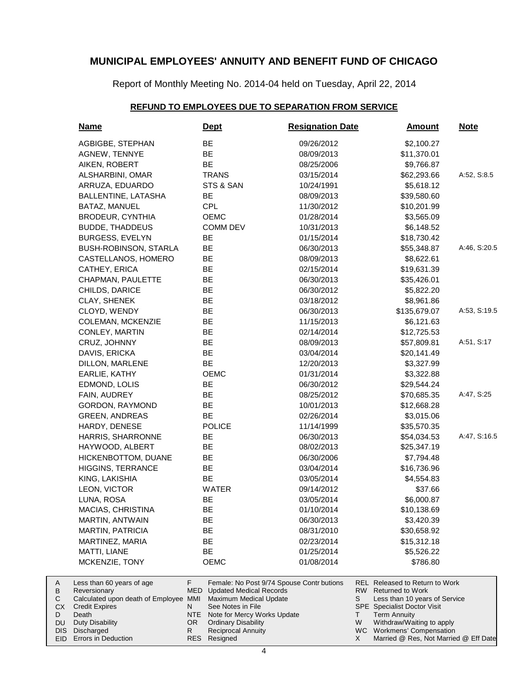Report of Monthly Meeting No. 2014-04 held on Tuesday, April 22, 2014

## **REFUND TO EMPLOYEES DUE TO SEPARATION FROM SERVICE**

| <b>Name</b>                                                                                                          | <u>Dept</u>                                                                                                  | <b>Resignation Date</b>                                                  | <b>Amount</b>                                                                                                                                                           | <b>Note</b>  |
|----------------------------------------------------------------------------------------------------------------------|--------------------------------------------------------------------------------------------------------------|--------------------------------------------------------------------------|-------------------------------------------------------------------------------------------------------------------------------------------------------------------------|--------------|
| AGBIGBE, STEPHAN                                                                                                     | BE                                                                                                           | 09/26/2012                                                               | \$2,100.27                                                                                                                                                              |              |
| AGNEW, TENNYE                                                                                                        | BE                                                                                                           | 08/09/2013                                                               | \$11,370.01                                                                                                                                                             |              |
| AIKEN, ROBERT                                                                                                        | <b>BE</b>                                                                                                    | 08/25/2006                                                               | \$9,766.87                                                                                                                                                              |              |
| ALSHARBINI, OMAR                                                                                                     | <b>TRANS</b>                                                                                                 | 03/15/2014                                                               | \$62,293.66                                                                                                                                                             | A:52, S:8.5  |
| ARRUZA, EDUARDO                                                                                                      | STS & SAN                                                                                                    | 10/24/1991                                                               | \$5,618.12                                                                                                                                                              |              |
| BALLENTINE, LATASHA                                                                                                  | BE                                                                                                           | 08/09/2013                                                               | \$39,580.60                                                                                                                                                             |              |
| BATAZ, MANUEL                                                                                                        | <b>CPL</b>                                                                                                   | 11/30/2012                                                               | \$10,201.99                                                                                                                                                             |              |
| <b>BRODEUR, CYNTHIA</b>                                                                                              | <b>OEMC</b>                                                                                                  | 01/28/2014                                                               | \$3,565.09                                                                                                                                                              |              |
| <b>BUDDE, THADDEUS</b>                                                                                               | <b>COMM DEV</b>                                                                                              | 10/31/2013                                                               | \$6,148.52                                                                                                                                                              |              |
| <b>BURGESS, EVELYN</b>                                                                                               | BE                                                                                                           | 01/15/2014                                                               | \$18,730.42                                                                                                                                                             |              |
| BUSH-ROBINSON, STARLA                                                                                                | BE                                                                                                           | 06/30/2013                                                               | \$55,348.87                                                                                                                                                             | A:46, S:20.5 |
| CASTELLANOS, HOMERO                                                                                                  | BE                                                                                                           | 08/09/2013                                                               | \$8,622.61                                                                                                                                                              |              |
| CATHEY, ERICA                                                                                                        | BE                                                                                                           | 02/15/2014                                                               | \$19,631.39                                                                                                                                                             |              |
| CHAPMAN, PAULETTE                                                                                                    | BE                                                                                                           | 06/30/2013                                                               | \$35,426.01                                                                                                                                                             |              |
| CHILDS, DARICE                                                                                                       | BE                                                                                                           | 06/30/2012                                                               | \$5,822.20                                                                                                                                                              |              |
| CLAY, SHENEK                                                                                                         | BE                                                                                                           | 03/18/2012                                                               | \$8,961.86                                                                                                                                                              |              |
| CLOYD, WENDY                                                                                                         | <b>BE</b>                                                                                                    | 06/30/2013                                                               | \$135,679.07                                                                                                                                                            | A:53, S:19.5 |
| COLEMAN, MCKENZIE                                                                                                    | BE                                                                                                           | 11/15/2013                                                               | \$6,121.63                                                                                                                                                              |              |
| CONLEY, MARTIN                                                                                                       | BE                                                                                                           | 02/14/2014                                                               | \$12,725.53                                                                                                                                                             |              |
| CRUZ, JOHNNY                                                                                                         | BE                                                                                                           | 08/09/2013                                                               | \$57,809.81                                                                                                                                                             | A:51, S:17   |
| DAVIS, ERICKA                                                                                                        | BE                                                                                                           | 03/04/2014                                                               | \$20,141.49                                                                                                                                                             |              |
| DILLON, MARLENE                                                                                                      | BE                                                                                                           | 12/20/2013                                                               | \$3,327.99                                                                                                                                                              |              |
| EARLIE, KATHY                                                                                                        | OEMC                                                                                                         | 01/31/2014                                                               | \$3,322.88                                                                                                                                                              |              |
| EDMOND, LOLIS                                                                                                        | BE                                                                                                           | 06/30/2012                                                               | \$29,544.24                                                                                                                                                             |              |
| FAIN, AUDREY                                                                                                         | BE                                                                                                           | 08/25/2012                                                               | \$70,685.35                                                                                                                                                             | A:47, S:25   |
| GORDON, RAYMOND                                                                                                      | <b>BE</b>                                                                                                    | 10/01/2013                                                               | \$12,668.28                                                                                                                                                             |              |
| <b>GREEN, ANDREAS</b>                                                                                                | <b>BE</b>                                                                                                    | 02/26/2014                                                               | \$3,015.06                                                                                                                                                              |              |
| HARDY, DENESE                                                                                                        | <b>POLICE</b>                                                                                                | 11/14/1999                                                               | \$35,570.35                                                                                                                                                             |              |
| HARRIS, SHARRONNE                                                                                                    | BE                                                                                                           | 06/30/2013                                                               | \$54,034.53                                                                                                                                                             | A:47, S:16.5 |
| HAYWOOD, ALBERT                                                                                                      | <b>BE</b>                                                                                                    | 08/02/2013                                                               | \$25,347.19                                                                                                                                                             |              |
| HICKENBOTTOM, DUANE                                                                                                  | <b>BE</b>                                                                                                    | 06/30/2006                                                               | \$7,794.48                                                                                                                                                              |              |
| <b>HIGGINS, TERRANCE</b>                                                                                             | BE                                                                                                           | 03/04/2014                                                               | \$16,736.96                                                                                                                                                             |              |
| KING, LAKISHIA                                                                                                       | BE                                                                                                           | 03/05/2014                                                               | \$4,554.83                                                                                                                                                              |              |
| LEON, VICTOR                                                                                                         | WATER                                                                                                        | 09/14/2012                                                               | \$37.66                                                                                                                                                                 |              |
| LUNA, ROSA                                                                                                           | BE                                                                                                           | 03/05/2014                                                               | \$6,000.87                                                                                                                                                              |              |
| MACIAS, CHRISTINA                                                                                                    | BЕ                                                                                                           | 01/10/2014                                                               | \$10,138.69                                                                                                                                                             |              |
| MARTIN, ANTWAIN                                                                                                      | BE                                                                                                           | 06/30/2013                                                               | \$3,420.39                                                                                                                                                              |              |
| <b>MARTIN, PATRICIA</b>                                                                                              | BE                                                                                                           | 08/31/2010                                                               | \$30,658.92                                                                                                                                                             |              |
| MARTINEZ, MARIA                                                                                                      | ВE                                                                                                           | 02/23/2014                                                               | \$15,312.18                                                                                                                                                             |              |
| MATTI, LIANE                                                                                                         | BE                                                                                                           | 01/25/2014                                                               | \$5,526.22                                                                                                                                                              |              |
| MCKENZIE, TONY                                                                                                       | <b>OEMC</b>                                                                                                  | 01/08/2014                                                               | \$786.80                                                                                                                                                                |              |
| Less than 60 years of age<br>Reversionary<br>Calculated upon death of Employee MMI<br><b>Credit Expires</b><br>Death | F<br>MED<br><b>Updated Medical Records</b><br>Maximum Medical Update<br>See Notes in File<br>N<br><b>NTE</b> | Female: No Post 9/74 Spouse Contr butions<br>Note for Mercy Works Update | REL Released to Return to Work<br>RW<br><b>Returned to Work</b><br>S<br>Less than 10 years of Service<br><b>SPE</b> Specialist Doctor Visit<br><b>Term Annuity</b><br>т |              |

- NTE Note for Mercy Works Update OR
	- Ordinary Disability
- Reciprocal Annuity Resigned RES

R

Duty Disability Discharged DIS EID Errors in Deduction

A B  $\mathbf C$ CX D DU

> WC Workmens' Compensation Married @ Res, Not Married @ Eff Date X

Withdraw/Waiting to apply

W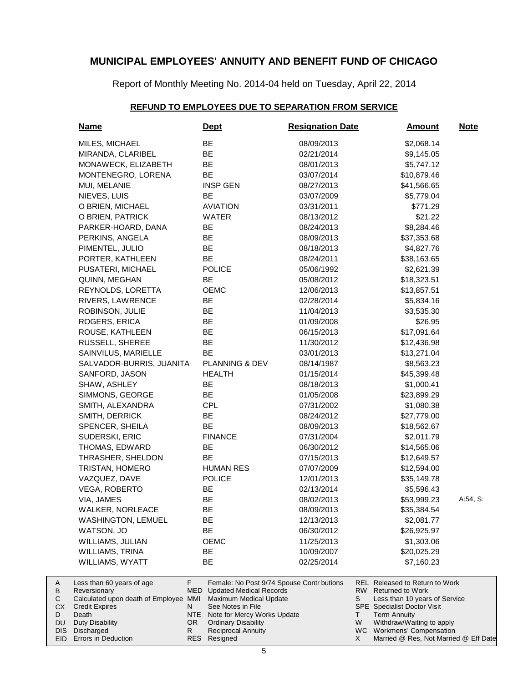Report of Monthly Meeting No. 2014-04 held on Tuesday, April 22, 2014

## **REFUND TO EMPLOYEES DUE TO SEPARATION FROM SERVICE**

| <b>Name</b>                                                                                                                            | <b>Dept</b>                                                                                                                                                   | <b>Resignation Date</b> | <u>Amount</u>                                                                                                                                                            | <b>Note</b> |
|----------------------------------------------------------------------------------------------------------------------------------------|---------------------------------------------------------------------------------------------------------------------------------------------------------------|-------------------------|--------------------------------------------------------------------------------------------------------------------------------------------------------------------------|-------------|
| MILES, MICHAEL                                                                                                                         | BE                                                                                                                                                            | 08/09/2013              | \$2,068.14                                                                                                                                                               |             |
| MIRANDA, CLARIBEL                                                                                                                      | BE                                                                                                                                                            | 02/21/2014              | \$9,145.05                                                                                                                                                               |             |
| MONAWECK, ELIZABETH                                                                                                                    | BE                                                                                                                                                            | 08/01/2013              | \$5,747.12                                                                                                                                                               |             |
| MONTENEGRO, LORENA                                                                                                                     | BE                                                                                                                                                            | 03/07/2014              | \$10,879.46                                                                                                                                                              |             |
| MUI, MELANIE                                                                                                                           | <b>INSP GEN</b>                                                                                                                                               | 08/27/2013              | \$41,566.65                                                                                                                                                              |             |
| NIEVES, LUIS                                                                                                                           | <b>BE</b>                                                                                                                                                     | 03/07/2009              | \$5,779.04                                                                                                                                                               |             |
| O BRIEN, MICHAEL                                                                                                                       | <b>AVIATION</b>                                                                                                                                               | 03/31/2011              | \$771.29                                                                                                                                                                 |             |
| O BRIEN, PATRICK                                                                                                                       | <b>WATER</b>                                                                                                                                                  | 08/13/2012              | \$21.22                                                                                                                                                                  |             |
| PARKER-HOARD, DANA                                                                                                                     | BE                                                                                                                                                            | 08/24/2013              | \$8,284.46                                                                                                                                                               |             |
| PERKINS, ANGELA                                                                                                                        | <b>BE</b>                                                                                                                                                     | 08/09/2013              | \$37,353.68                                                                                                                                                              |             |
| PIMENTEL, JULIO                                                                                                                        | <b>BE</b>                                                                                                                                                     | 08/18/2013              | \$4,827.76                                                                                                                                                               |             |
| PORTER, KATHLEEN                                                                                                                       | <b>BE</b>                                                                                                                                                     | 08/24/2011              | \$38,163.65                                                                                                                                                              |             |
| PUSATERI, MICHAEL                                                                                                                      | <b>POLICE</b>                                                                                                                                                 | 05/06/1992              | \$2,621.39                                                                                                                                                               |             |
| QUINN, MEGHAN                                                                                                                          | BE                                                                                                                                                            | 05/08/2012              | \$18,323.51                                                                                                                                                              |             |
| REYNOLDS, LORETTA                                                                                                                      | <b>OEMC</b>                                                                                                                                                   | 12/06/2013              | \$13,857.51                                                                                                                                                              |             |
| RIVERS, LAWRENCE                                                                                                                       | BE                                                                                                                                                            | 02/28/2014              | \$5,834.16                                                                                                                                                               |             |
| ROBINSON, JULIE                                                                                                                        | BE                                                                                                                                                            | 11/04/2013              | \$3,535.30                                                                                                                                                               |             |
| ROGERS, ERICA                                                                                                                          | BE                                                                                                                                                            | 01/09/2008              | \$26.95                                                                                                                                                                  |             |
| ROUSE, KATHLEEN                                                                                                                        | BE                                                                                                                                                            | 06/15/2013              | \$17,091.64                                                                                                                                                              |             |
| RUSSELL, SHEREE                                                                                                                        | <b>BE</b>                                                                                                                                                     | 11/30/2012              | \$12,436.98                                                                                                                                                              |             |
| SAINVILUS, MARIELLE                                                                                                                    | <b>BE</b>                                                                                                                                                     | 03/01/2013              | \$13,271.04                                                                                                                                                              |             |
| SALVADOR-BURRIS, JUANITA                                                                                                               | PLANNING & DEV                                                                                                                                                | 08/14/1987              | \$8,563.23                                                                                                                                                               |             |
| SANFORD, JASON                                                                                                                         | <b>HEALTH</b>                                                                                                                                                 | 01/15/2014              | \$45,399.48                                                                                                                                                              |             |
| SHAW, ASHLEY                                                                                                                           | BE                                                                                                                                                            | 08/18/2013              | \$1,000.41                                                                                                                                                               |             |
| SIMMONS, GEORGE                                                                                                                        | BE                                                                                                                                                            | 01/05/2008              | \$23,899.29                                                                                                                                                              |             |
| SMITH, ALEXANDRA                                                                                                                       | CPL                                                                                                                                                           | 07/31/2002              | \$1,080.38                                                                                                                                                               |             |
| SMITH, DERRICK                                                                                                                         | BE                                                                                                                                                            | 08/24/2012              | \$27,779.00                                                                                                                                                              |             |
| SPENCER, SHEILA                                                                                                                        | BE                                                                                                                                                            | 08/09/2013              | \$18,562.67                                                                                                                                                              |             |
| SUDERSKI, ERIC                                                                                                                         | <b>FINANCE</b>                                                                                                                                                | 07/31/2004              | \$2,011.79                                                                                                                                                               |             |
| THOMAS, EDWARD                                                                                                                         | BE                                                                                                                                                            | 06/30/2012              | \$14,565.06                                                                                                                                                              |             |
| THRASHER, SHELDON                                                                                                                      | BE                                                                                                                                                            | 07/15/2013              | \$12,649.57                                                                                                                                                              |             |
| <b>TRISTAN, HOMERO</b>                                                                                                                 | <b>HUMAN RES</b>                                                                                                                                              | 07/07/2009              | \$12,594.00                                                                                                                                                              |             |
| VAZQUEZ, DAVE                                                                                                                          | <b>POLICE</b>                                                                                                                                                 | 12/01/2013              | \$35,149.78                                                                                                                                                              |             |
| <b>VEGA, ROBERTO</b>                                                                                                                   | BE                                                                                                                                                            | 02/13/2014              | \$5,596.43                                                                                                                                                               |             |
| VIA, JAMES                                                                                                                             | <b>BE</b>                                                                                                                                                     | 08/02/2013              | \$53,999.23                                                                                                                                                              | A:54, S:    |
| WALKER, NORLEACE                                                                                                                       | ВE                                                                                                                                                            | 08/09/2013              | \$35,384.54                                                                                                                                                              |             |
| <b>WASHINGTON, LEMUEL</b>                                                                                                              | BЕ                                                                                                                                                            | 12/13/2013              | \$2,081.77                                                                                                                                                               |             |
| WATSON, JO                                                                                                                             | BE                                                                                                                                                            | 06/30/2012              | \$26,925.97                                                                                                                                                              |             |
| WILLIAMS, JULIAN                                                                                                                       | <b>OEMC</b>                                                                                                                                                   | 11/25/2013              | \$1,303.06                                                                                                                                                               |             |
| WILLIAMS, TRINA                                                                                                                        | ВE                                                                                                                                                            | 10/09/2007              | \$20,025.29                                                                                                                                                              |             |
| WILLIAMS, WYATT                                                                                                                        | BE                                                                                                                                                            | 02/25/2014              | \$7,160.23                                                                                                                                                               |             |
| F.<br>Less than 60 years of age<br>MED<br>Reversionary<br>Calculated upon death of Employee MMI<br>N<br><b>Credit Expires</b><br>Death | Female: No Post 9/74 Spouse Contr butions<br><b>Updated Medical Records</b><br>Maximum Medical Update<br>See Notes in File<br>NTE Note for Mercy Works Update |                         | <b>REL Released to Return to Work</b><br>RW.<br><b>Returned to Work</b><br>S<br>Less than 10 years of Service<br>SPE Specialist Doctor Visit<br><b>Term Annuity</b><br>Τ |             |

Death Duty Disability CX D DU

Discharged DIS EID Errors in Deduction

A B  ${\bf C}$ 

- NTE Note for Mercy Works Update Ordinary Disability OR
	- Resigned RESR
- Reciprocal Annuity
	-

Withdraw/Waiting to apply W

Term Annuity

WC Workmens' Compensation Married @ Res, Not Married @ Eff Date X

5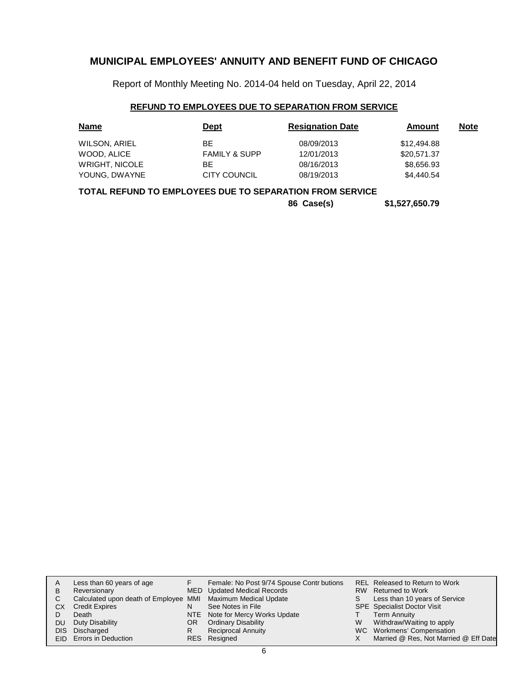Report of Monthly Meeting No. 2014-04 held on Tuesday, April 22, 2014

## **REFUND TO EMPLOYEES DUE TO SEPARATION FROM SERVICE**

| <b>Name</b>           | <b>Dept</b>              | <b>Resignation Date</b> | Amount      | <b>Note</b> |
|-----------------------|--------------------------|-------------------------|-------------|-------------|
| WILSON, ARIEL         | ВE                       | 08/09/2013              | \$12,494.88 |             |
| WOOD, ALICE           | <b>FAMILY &amp; SUPP</b> | 12/01/2013              | \$20,571.37 |             |
| <b>WRIGHT, NICOLE</b> | ВE                       | 08/16/2013              | \$8,656.93  |             |
| YOUNG, DWAYNE         | <b>CITY COUNCIL</b>      | 08/19/2013              | \$4,440.54  |             |

## **TOTAL REFUND TO EMPLOYEES DUE TO SEPARATION FROM SERVICE**

**86 Case(s) \$1,527,650.79**

|    | Less than 60 years of age                                    |    | Female: No Post 9/74 Spouse Contr butions |   | REL Released to Return to Work        |
|----|--------------------------------------------------------------|----|-------------------------------------------|---|---------------------------------------|
| B  | Reversionary                                                 |    | MED Updated Medical Records               |   | RW Returned to Work                   |
| C. | Calculated upon death of Employee MMI Maximum Medical Update |    |                                           | S | Less than 10 years of Service         |
| CХ | <b>Credit Expires</b>                                        | N  | See Notes in File                         |   | <b>SPE</b> Specialist Doctor Visit    |
|    | Death                                                        |    | NTE Note for Mercy Works Update           |   | Term Annuity                          |
| DU | Duty Disability                                              | OR | <b>Ordinary Disability</b>                | W | Withdraw/Waiting to apply             |
|    | DIS Discharged                                               | R  | <b>Reciprocal Annuity</b>                 |   | WC Workmens' Compensation             |
|    | EID Errors in Deduction                                      |    | RES Resigned                              |   | Married @ Res, Not Married @ Eff Date |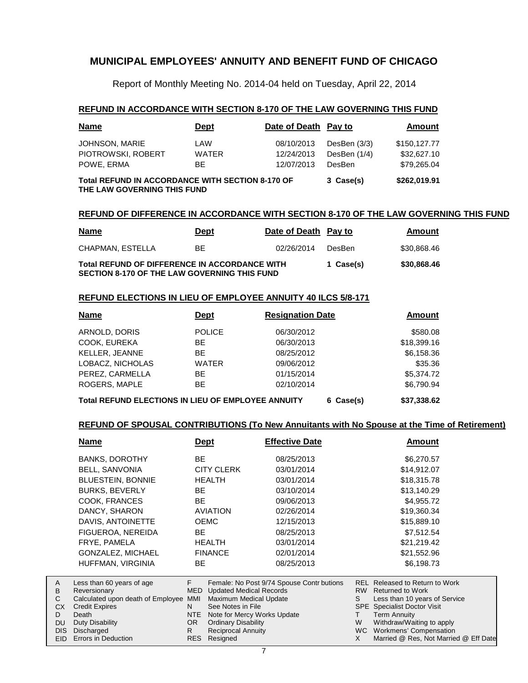Report of Monthly Meeting No. 2014-04 held on Tuesday, April 22, 2014

### **REFUND IN ACCORDANCE WITH SECTION 8-170 OF THE LAW GOVERNING THIS FUND**

| <b>Name</b>                                                                            | <b>Dept</b>  | Date of Death Pay to |                | <b>Amount</b> |
|----------------------------------------------------------------------------------------|--------------|----------------------|----------------|---------------|
| JOHNSON, MARIE                                                                         | LAW          | 08/10/2013           | DesBen $(3/3)$ | \$150,127.77  |
| PIOTROWSKI, ROBERT                                                                     | <b>WATER</b> | 12/24/2013           | DesBen (1/4)   | \$32,627.10   |
| POWE, ERMA                                                                             | BE.          | 12/07/2013           | DesBen         | \$79,265.04   |
| <b>Total REFUND IN ACCORDANCE WITH SECTION 8-170 OF</b><br>THE LAW GOVERNING THIS FUND | 3 Case(s)    | \$262,019.91         |                |               |

### **REFUND OF DIFFERENCE IN ACCORDANCE WITH SECTION 8-170 OF THE LAW GOVERNING THIS FUND**

| <u>Name</u>                                                                                          | <b>Dept</b> | Date of Death Pay to |        | Amount      |
|------------------------------------------------------------------------------------------------------|-------------|----------------------|--------|-------------|
| CHAPMAN. ESTELLA                                                                                     | BE.         | 02/26/2014           | DesBen | \$30,868.46 |
| Total REFUND OF DIFFERENCE IN ACCORDANCE WITH<br><b>SECTION 8-170 OF THE LAW GOVERNING THIS FUND</b> | 1 Case(s)   | \$30,868.46          |        |             |

### **REFUND ELECTIONS IN LIEU OF EMPLOYEE ANNUITY 40 ILCS 5/8-171**

| <b>Name</b>                                        | Dept          | <b>Resignation Date</b> | Amount      |
|----------------------------------------------------|---------------|-------------------------|-------------|
| ARNOLD, DORIS                                      | <b>POLICE</b> | 06/30/2012              | \$580.08    |
| COOK, EUREKA                                       | BE            | 06/30/2013              | \$18,399.16 |
| KELLER, JEANNE                                     | <b>BE</b>     | 08/25/2012              | \$6,158.36  |
| LOBACZ, NICHOLAS                                   | <b>WATER</b>  | 09/06/2012              | \$35.36     |
| PEREZ, CARMELLA                                    | BE.           | 01/15/2014              | \$5,374.72  |
| ROGERS, MAPLE                                      | <b>BE</b>     | 02/10/2014              | \$6,790.94  |
| Total REFUND ELECTIONS IN LIEU OF EMPLOYEE ANNUITY |               | 6 Case(s)               | \$37,338,62 |

# **REFUND OF SPOUSAL CONTRIBUTIONS (To New Annuitants with No Spouse at the Time of Retirement)**

| <b>Name</b>                       | <b>Dept</b> |                                | <b>Effective Date</b>                     |            | Amount                                |
|-----------------------------------|-------------|--------------------------------|-------------------------------------------|------------|---------------------------------------|
| <b>BANKS, DOROTHY</b>             | <b>BE</b>   |                                | 08/25/2013                                |            | \$6,270.57                            |
| BELL, SANVONIA                    |             | <b>CITY CLERK</b>              | 03/01/2014                                |            | \$14,912.07                           |
| <b>BLUESTEIN, BONNIE</b>          |             | <b>HEALTH</b>                  | 03/01/2014                                |            | \$18,315.78                           |
| <b>BURKS, BEVERLY</b>             | BE.         |                                | 03/10/2014                                |            | \$13,140.29                           |
| COOK, FRANCES                     | BE.         |                                | 09/06/2013                                |            | \$4,955.72                            |
| DANCY, SHARON                     |             | <b>AVIATION</b>                | 02/26/2014                                |            | \$19,360.34                           |
| DAVIS, ANTOINETTE                 | <b>OEMC</b> |                                | 12/15/2013                                |            | \$15,889.10                           |
| FIGUEROA, NEREIDA                 | BE.         |                                | 08/25/2013                                |            | \$7,512.54                            |
| FRYE, PAMELA                      |             | <b>HEALTH</b>                  | 03/01/2014                                |            | \$21,219.42                           |
| GONZALEZ, MICHAEL                 |             | <b>FINANCE</b>                 | 02/01/2014                                |            | \$21,552.96                           |
| HUFFMAN, VIRGINIA                 | BE.         |                                | 08/25/2013                                |            | \$6,198.73                            |
| Less than 60 years of age         | F           |                                | Female: No Post 9/74 Spouse Contr butions |            | <b>REL Released to Return to Work</b> |
| Reversionary                      | <b>MED</b>  | <b>Updated Medical Records</b> |                                           | RW         | <b>Returned to Work</b>               |
| Calculated upon death of Employee | <b>MMI</b>  | Maximum Medical Update         |                                           | S          | Less than 10 years of Service         |
| <b>Credit Expires</b>             | N           | See Notes in File              |                                           | <b>SPE</b> | <b>Specialist Doctor Visit</b>        |
| Death                             | NTE         | Note for Mercy Works Update    |                                           |            | Term Annuity                          |

- Note for Mercy Works Update OR
	- Ordinary Disability
- Reciprocal Annuity Resigned RESR

Duty Disability Discharged DIS EID Errors in Deduction

A B C CX D DU

Withdraw/Waiting to apply WC Workmens' Compensation

W X

Married @ Res, Not Married @ Eff Date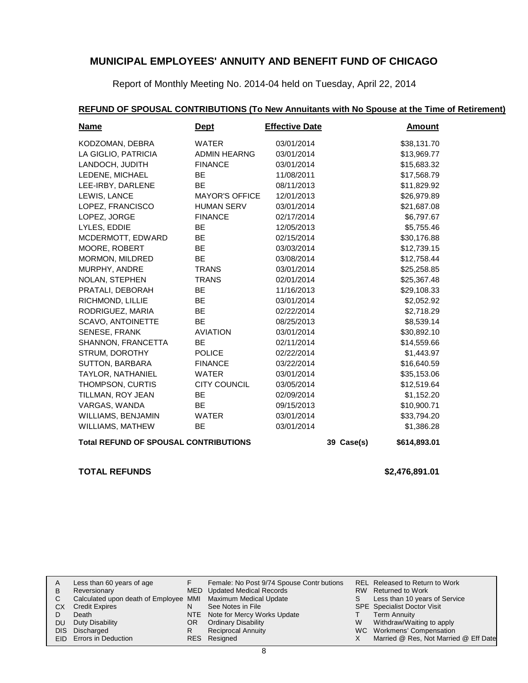Report of Monthly Meeting No. 2014-04 held on Tuesday, April 22, 2014

## **REFUND OF SPOUSAL CONTRIBUTIONS (To New Annuitants with No Spouse at the Time of Retirement)**

| <b>Name</b>          | <b>Dept</b>                                                                | <b>Effective Date</b> |  | <b>Amount</b> |  |  |  |  |
|----------------------|----------------------------------------------------------------------------|-----------------------|--|---------------|--|--|--|--|
| KODZOMAN, DEBRA      | <b>WATER</b>                                                               | 03/01/2014            |  | \$38,131.70   |  |  |  |  |
| LA GIGLIO, PATRICIA  | <b>ADMIN HEARNG</b>                                                        | 03/01/2014            |  | \$13,969.77   |  |  |  |  |
| LANDOCH, JUDITH      | <b>FINANCE</b>                                                             | 03/01/2014            |  | \$15,683.32   |  |  |  |  |
| LEDENE, MICHAEL      | BE.                                                                        | 11/08/2011            |  | \$17,568.79   |  |  |  |  |
| LEE-IRBY, DARLENE    | <b>BE</b>                                                                  | 08/11/2013            |  | \$11,829.92   |  |  |  |  |
| LEWIS, LANCE         | <b>MAYOR'S OFFICE</b>                                                      | 12/01/2013            |  | \$26,979.89   |  |  |  |  |
| LOPEZ, FRANCISCO     | <b>HUMAN SERV</b>                                                          | 03/01/2014            |  | \$21,687.08   |  |  |  |  |
| LOPEZ, JORGE         | <b>FINANCE</b>                                                             | 02/17/2014            |  | \$6,797.67    |  |  |  |  |
| LYLES, EDDIE         | <b>BE</b>                                                                  | 12/05/2013            |  | \$5,755.46    |  |  |  |  |
| MCDERMOTT, EDWARD    | <b>BE</b>                                                                  | 02/15/2014            |  | \$30,176.88   |  |  |  |  |
| MOORE, ROBERT        | BE                                                                         | 03/03/2014            |  | \$12,739.15   |  |  |  |  |
| MORMON, MILDRED      | <b>BE</b>                                                                  | 03/08/2014            |  | \$12,758.44   |  |  |  |  |
| MURPHY, ANDRE        | <b>TRANS</b>                                                               | 03/01/2014            |  | \$25,258.85   |  |  |  |  |
| NOLAN, STEPHEN       | <b>TRANS</b>                                                               | 02/01/2014            |  | \$25,367.48   |  |  |  |  |
| PRATALI, DEBORAH     | <b>BE</b>                                                                  | 11/16/2013            |  | \$29,108.33   |  |  |  |  |
| RICHMOND, LILLIE     | <b>BE</b>                                                                  | 03/01/2014            |  | \$2,052.92    |  |  |  |  |
| RODRIGUEZ, MARIA     | <b>BE</b>                                                                  | 02/22/2014            |  | \$2,718.29    |  |  |  |  |
| SCAVO, ANTOINETTE    | <b>BE</b>                                                                  | 08/25/2013            |  | \$8,539.14    |  |  |  |  |
| <b>SENESE, FRANK</b> | <b>AVIATION</b>                                                            | 03/01/2014            |  | \$30,892.10   |  |  |  |  |
| SHANNON, FRANCETTA   | BE                                                                         | 02/11/2014            |  | \$14,559.66   |  |  |  |  |
| STRUM, DOROTHY       | <b>POLICE</b>                                                              | 02/22/2014            |  | \$1,443.97    |  |  |  |  |
| SUTTON, BARBARA      | <b>FINANCE</b>                                                             | 03/22/2014            |  | \$16,640.59   |  |  |  |  |
| TAYLOR, NATHANIEL    | <b>WATER</b>                                                               | 03/01/2014            |  | \$35,153.06   |  |  |  |  |
| THOMPSON, CURTIS     | <b>CITY COUNCIL</b>                                                        | 03/05/2014            |  | \$12,519.64   |  |  |  |  |
| TILLMAN, ROY JEAN    | BE                                                                         | 02/09/2014            |  | \$1,152.20    |  |  |  |  |
| VARGAS, WANDA        | BE                                                                         | 09/15/2013            |  | \$10,900.71   |  |  |  |  |
| WILLIAMS, BENJAMIN   | WATER                                                                      | 03/01/2014            |  | \$33,794.20   |  |  |  |  |
| WILLIAMS, MATHEW     | BE                                                                         | 03/01/2014            |  | \$1,386.28    |  |  |  |  |
|                      | <b>Total REFUND OF SPOUSAL CONTRIBUTIONS</b><br>\$614,893.01<br>39 Case(s) |                       |  |               |  |  |  |  |

## **TOTAL REFUNDS \$2,476,891.01**

| A  | Less than 60 years of age                                    |     | Female: No Post 9/74 Spouse Contr butions |    | REL Released to Return to Work        |
|----|--------------------------------------------------------------|-----|-------------------------------------------|----|---------------------------------------|
| В  | Reversionary                                                 |     | MED Updated Medical Records               |    | RW Returned to Work                   |
|    | Calculated upon death of Employee MMI Maximum Medical Update |     |                                           | S. | Less than 10 years of Service         |
| CХ | <b>Credit Expires</b>                                        | N   | See Notes in File                         |    | <b>SPE</b> Specialist Doctor Visit    |
|    | Death                                                        |     | NTE Note for Mercy Works Update           |    | <b>Term Annuity</b>                   |
| DU | Duty Disability                                              | OR. | <b>Ordinary Disability</b>                | W  | Withdraw/Waiting to apply             |
|    | DIS Discharged                                               | R   | Reciprocal Annuity                        |    | WC Workmens' Compensation             |
|    | <b>EID</b> Errors in Deduction                               |     | RES Resigned                              |    | Married @ Res, Not Married @ Eff Date |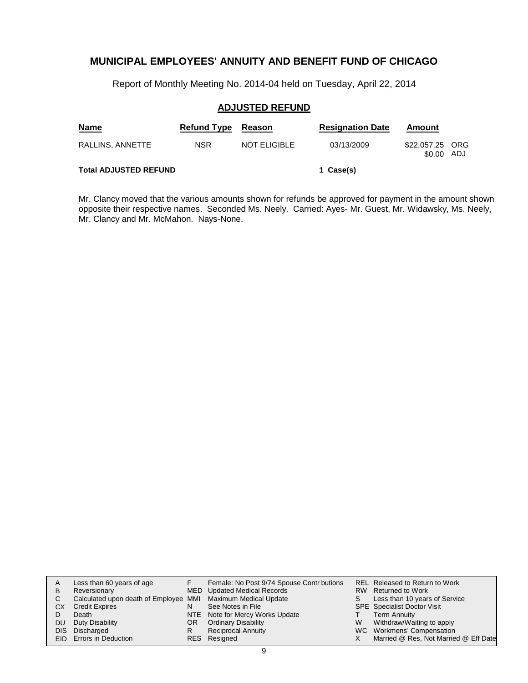Report of Monthly Meeting No. 2014-04 held on Tuesday, April 22, 2014

## **ADJUSTED REFUND**

| <b>Name</b>                  | <b>Refund Type</b> | Reason              | <b>Resignation Date</b> | Amount                    |     |
|------------------------------|--------------------|---------------------|-------------------------|---------------------------|-----|
| RALLINS, ANNETTE             | <b>NSR</b>         | <b>NOT ELIGIBLE</b> | 03/13/2009              | \$22,057.25 ORG<br>\$0.00 | ADJ |
| <b>Total ADJUSTED REFUND</b> |                    |                     | 1 Case(s)               |                           |     |

Mr. Clancy moved that the various amounts shown for refunds be approved for payment in the amount shown opposite their respective names. Seconded Ms. Neely. Carried: Ayes- Mr. Guest, Mr. Widawsky, Ms. Neely, Mr. Clancy and Mr. McMahon. Nays-None.

| A    | Less than 60 years of age                                    |    | Female: No Post 9/74 Spouse Contr butions |   | REL Released to Return to Work        |
|------|--------------------------------------------------------------|----|-------------------------------------------|---|---------------------------------------|
| в    | Reversionary                                                 |    | MED Updated Medical Records               |   | RW Returned to Work                   |
| С    | Calculated upon death of Employee MMI Maximum Medical Update |    |                                           | S | Less than 10 years of Service         |
| CХ   | <b>Credit Expires</b>                                        | N  | See Notes in File                         |   | <b>SPE</b> Specialist Doctor Visit    |
|      | Death                                                        |    | NTE Note for Mercy Works Update           |   | <b>Term Annuity</b>                   |
| DU   | Duty Disability                                              | OR | <b>Ordinary Disability</b>                | W | Withdraw/Waiting to apply             |
| DIS. | Discharged                                                   | R  | <b>Reciprocal Annuity</b>                 |   | WC Workmens' Compensation             |
|      | EID Errors in Deduction                                      |    | RES Resigned                              |   | Married @ Res, Not Married @ Eff Date |
|      |                                                              |    |                                           |   |                                       |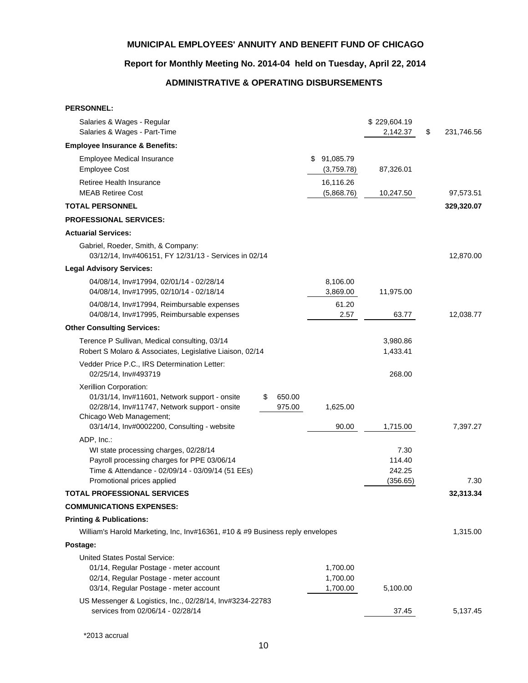# **Report for Monthly Meeting No. 2014-04 held on Tuesday, April 22, 2014**

# **ADMINISTRATIVE & OPERATING DISBURSEMENTS**

| Salaries & Wages - Regular                                                                                                                                                                                                                        | \$229,604.19                         |                  |
|---------------------------------------------------------------------------------------------------------------------------------------------------------------------------------------------------------------------------------------------------|--------------------------------------|------------------|
| Salaries & Wages - Part-Time                                                                                                                                                                                                                      | 2,142.37                             | \$<br>231,746.56 |
| <b>Employee Insurance &amp; Benefits:</b>                                                                                                                                                                                                         |                                      |                  |
| 91,085.79<br>Employee Medical Insurance<br>\$<br><b>Employee Cost</b><br>(3,759.78)                                                                                                                                                               | 87,326.01                            |                  |
| 16,116.26<br>Retiree Health Insurance<br><b>MEAB Retiree Cost</b><br>(5,868.76)                                                                                                                                                                   | 10,247.50                            | 97,573.51        |
| <b>TOTAL PERSONNEL</b>                                                                                                                                                                                                                            |                                      | 329,320.07       |
| <b>PROFESSIONAL SERVICES:</b>                                                                                                                                                                                                                     |                                      |                  |
| <b>Actuarial Services:</b>                                                                                                                                                                                                                        |                                      |                  |
| Gabriel, Roeder, Smith, & Company:<br>03/12/14, Inv#406151, FY 12/31/13 - Services in 02/14                                                                                                                                                       |                                      | 12,870.00        |
| <b>Legal Advisory Services:</b>                                                                                                                                                                                                                   |                                      |                  |
| 04/08/14, Inv#17994, 02/01/14 - 02/28/14<br>8,106.00<br>04/08/14, Inv#17995, 02/10/14 - 02/18/14<br>3,869.00                                                                                                                                      | 11,975.00                            |                  |
| 61.20<br>04/08/14, Inv#17994, Reimbursable expenses<br>04/08/14, Inv#17995, Reimbursable expenses<br>2.57                                                                                                                                         | 63.77                                | 12,038.77        |
| <b>Other Consulting Services:</b>                                                                                                                                                                                                                 |                                      |                  |
| Terence P Sullivan, Medical consulting, 03/14<br>Robert S Molaro & Associates, Legislative Liaison, 02/14                                                                                                                                         | 3,980.86<br>1,433.41                 |                  |
| Vedder Price P.C., IRS Determination Letter:<br>02/25/14, Inv#493719                                                                                                                                                                              | 268.00                               |                  |
| Xerillion Corporation:<br>01/31/14, Inv#11601, Network support - onsite<br>650.00<br>\$<br>02/28/14, Inv#11747, Network support - onsite<br>975.00<br>1,625.00<br>Chicago Web Management;<br>90.00<br>03/14/14, Inv#0002200, Consulting - website | 1,715.00                             | 7,397.27         |
| ADP, Inc.:<br>WI state processing charges, 02/28/14<br>Payroll processing charges for PPE 03/06/14<br>Time & Attendance - 02/09/14 - 03/09/14 (51 EEs)<br>Promotional prices applied                                                              | 7.30<br>114.40<br>242.25<br>(356.65) | 7.30             |
| TOTAL PROFESSIONAL SERVICES                                                                                                                                                                                                                       |                                      | 32,313.34        |
| <b>COMMUNICATIONS EXPENSES:</b>                                                                                                                                                                                                                   |                                      |                  |
| <b>Printing &amp; Publications:</b>                                                                                                                                                                                                               |                                      |                  |
| William's Harold Marketing, Inc, Inv#16361, #10 & #9 Business reply envelopes                                                                                                                                                                     |                                      | 1,315.00         |
| Postage:                                                                                                                                                                                                                                          |                                      |                  |
| <b>United States Postal Service:</b>                                                                                                                                                                                                              |                                      |                  |
| 01/14, Regular Postage - meter account<br>1,700.00                                                                                                                                                                                                |                                      |                  |
| 02/14, Regular Postage - meter account<br>1,700.00                                                                                                                                                                                                |                                      |                  |
| 03/14, Regular Postage - meter account<br>1,700.00                                                                                                                                                                                                | 5,100.00                             |                  |
| US Messenger & Logistics, Inc., 02/28/14, Inv#3234-22783<br>services from 02/06/14 - 02/28/14                                                                                                                                                     | 37.45                                | 5,137.45         |

\*2013 accrual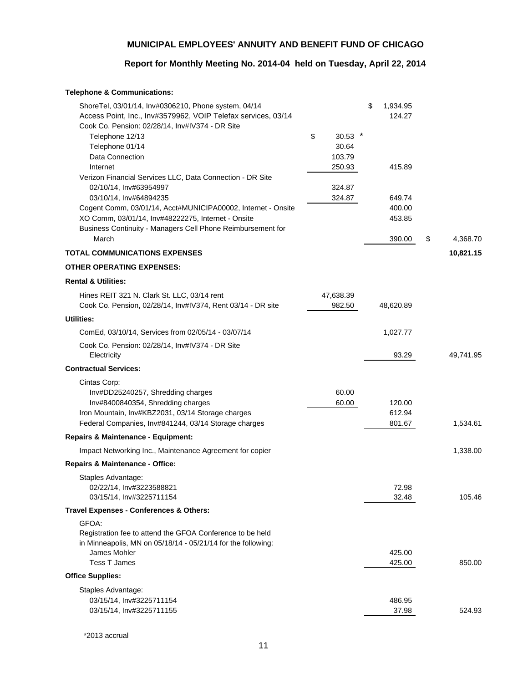# **Report for Monthly Meeting No. 2014-04 held on Tuesday, April 22, 2014**

## **Telephone & Communications:**

| \$<br>30.53<br>Telephone 12/13<br>Telephone 01/14<br>30.64<br>Data Connection<br>103.79<br>250.93<br>415.89<br>Internet<br>Verizon Financial Services LLC, Data Connection - DR Site<br>02/10/14, Inv#63954997<br>324.87<br>03/10/14, Inv#64894235<br>324.87<br>649.74<br>Cogent Comm, 03/01/14, Acct#MUNICIPA00002, Internet - Onsite<br>400.00<br>XO Comm, 03/01/14, Inv#48222275, Internet - Onsite<br>453.85<br>Business Continuity - Managers Cell Phone Reimbursement for<br>March<br>390.00<br>\$<br>4,368.70<br><b>TOTAL COMMUNICATIONS EXPENSES</b><br>10,821.15<br><b>OTHER OPERATING EXPENSES:</b><br><b>Rental &amp; Utilities:</b><br>Hines REIT 321 N. Clark St. LLC, 03/14 rent<br>47,638.39<br>Cook Co. Pension, 02/28/14, Inv#IV374, Rent 03/14 - DR site<br>982.50<br>48,620.89<br><b>Utilities:</b><br>ComEd, 03/10/14, Services from 02/05/14 - 03/07/14<br>1,027.77<br>Cook Co. Pension: 02/28/14, Inv#IV374 - DR Site<br>Electricity<br>93.29<br>49,741.95<br><b>Contractual Services:</b><br>Cintas Corp:<br>60.00<br>Inv#DD25240257, Shredding charges<br>Inv#8400840354, Shredding charges<br>60.00<br>120.00<br>Iron Mountain, Inv#KBZ2031, 03/14 Storage charges<br>612.94<br>Federal Companies, Inv#841244, 03/14 Storage charges<br>801.67<br>1,534.61<br>Repairs & Maintenance - Equipment:<br>Impact Networking Inc., Maintenance Agreement for copier<br>1,338.00<br><b>Repairs &amp; Maintenance - Office:</b><br>Staples Advantage:<br>02/22/14, Inv#3223588821<br>72.98<br>03/15/14, Inv#3225711154<br>32.48<br>105.46<br><b>Travel Expenses - Conferences &amp; Others:</b><br>GFOA:<br>Registration fee to attend the GFOA Conference to be held<br>in Minneapolis, MN on 05/18/14 - 05/21/14 for the following:<br>James Mohler<br>425.00<br><b>Tess T James</b><br>850.00<br>425.00<br><b>Office Supplies:</b><br>Staples Advantage:<br>03/15/14, Inv#3225711154<br>486.95<br>37.98<br>03/15/14, Inv#3225711155<br>524.93 | ShoreTel, 03/01/14, Inv#0306210, Phone system, 04/14<br>Access Point, Inc., Inv#3579962, VOIP Telefax services, 03/14<br>Cook Co. Pension: 02/28/14, Inv#IV374 - DR Site | \$<br>1,934.95<br>124.27 |  |
|------------------------------------------------------------------------------------------------------------------------------------------------------------------------------------------------------------------------------------------------------------------------------------------------------------------------------------------------------------------------------------------------------------------------------------------------------------------------------------------------------------------------------------------------------------------------------------------------------------------------------------------------------------------------------------------------------------------------------------------------------------------------------------------------------------------------------------------------------------------------------------------------------------------------------------------------------------------------------------------------------------------------------------------------------------------------------------------------------------------------------------------------------------------------------------------------------------------------------------------------------------------------------------------------------------------------------------------------------------------------------------------------------------------------------------------------------------------------------------------------------------------------------------------------------------------------------------------------------------------------------------------------------------------------------------------------------------------------------------------------------------------------------------------------------------------------------------------------------------------------------------------------------------------------------------------------------------------|--------------------------------------------------------------------------------------------------------------------------------------------------------------------------|--------------------------|--|
|                                                                                                                                                                                                                                                                                                                                                                                                                                                                                                                                                                                                                                                                                                                                                                                                                                                                                                                                                                                                                                                                                                                                                                                                                                                                                                                                                                                                                                                                                                                                                                                                                                                                                                                                                                                                                                                                                                                                                                  |                                                                                                                                                                          |                          |  |
|                                                                                                                                                                                                                                                                                                                                                                                                                                                                                                                                                                                                                                                                                                                                                                                                                                                                                                                                                                                                                                                                                                                                                                                                                                                                                                                                                                                                                                                                                                                                                                                                                                                                                                                                                                                                                                                                                                                                                                  |                                                                                                                                                                          |                          |  |
|                                                                                                                                                                                                                                                                                                                                                                                                                                                                                                                                                                                                                                                                                                                                                                                                                                                                                                                                                                                                                                                                                                                                                                                                                                                                                                                                                                                                                                                                                                                                                                                                                                                                                                                                                                                                                                                                                                                                                                  |                                                                                                                                                                          |                          |  |
|                                                                                                                                                                                                                                                                                                                                                                                                                                                                                                                                                                                                                                                                                                                                                                                                                                                                                                                                                                                                                                                                                                                                                                                                                                                                                                                                                                                                                                                                                                                                                                                                                                                                                                                                                                                                                                                                                                                                                                  |                                                                                                                                                                          |                          |  |
|                                                                                                                                                                                                                                                                                                                                                                                                                                                                                                                                                                                                                                                                                                                                                                                                                                                                                                                                                                                                                                                                                                                                                                                                                                                                                                                                                                                                                                                                                                                                                                                                                                                                                                                                                                                                                                                                                                                                                                  |                                                                                                                                                                          |                          |  |
|                                                                                                                                                                                                                                                                                                                                                                                                                                                                                                                                                                                                                                                                                                                                                                                                                                                                                                                                                                                                                                                                                                                                                                                                                                                                                                                                                                                                                                                                                                                                                                                                                                                                                                                                                                                                                                                                                                                                                                  |                                                                                                                                                                          |                          |  |
|                                                                                                                                                                                                                                                                                                                                                                                                                                                                                                                                                                                                                                                                                                                                                                                                                                                                                                                                                                                                                                                                                                                                                                                                                                                                                                                                                                                                                                                                                                                                                                                                                                                                                                                                                                                                                                                                                                                                                                  |                                                                                                                                                                          |                          |  |
|                                                                                                                                                                                                                                                                                                                                                                                                                                                                                                                                                                                                                                                                                                                                                                                                                                                                                                                                                                                                                                                                                                                                                                                                                                                                                                                                                                                                                                                                                                                                                                                                                                                                                                                                                                                                                                                                                                                                                                  |                                                                                                                                                                          |                          |  |
|                                                                                                                                                                                                                                                                                                                                                                                                                                                                                                                                                                                                                                                                                                                                                                                                                                                                                                                                                                                                                                                                                                                                                                                                                                                                                                                                                                                                                                                                                                                                                                                                                                                                                                                                                                                                                                                                                                                                                                  |                                                                                                                                                                          |                          |  |
|                                                                                                                                                                                                                                                                                                                                                                                                                                                                                                                                                                                                                                                                                                                                                                                                                                                                                                                                                                                                                                                                                                                                                                                                                                                                                                                                                                                                                                                                                                                                                                                                                                                                                                                                                                                                                                                                                                                                                                  |                                                                                                                                                                          |                          |  |
|                                                                                                                                                                                                                                                                                                                                                                                                                                                                                                                                                                                                                                                                                                                                                                                                                                                                                                                                                                                                                                                                                                                                                                                                                                                                                                                                                                                                                                                                                                                                                                                                                                                                                                                                                                                                                                                                                                                                                                  |                                                                                                                                                                          |                          |  |
|                                                                                                                                                                                                                                                                                                                                                                                                                                                                                                                                                                                                                                                                                                                                                                                                                                                                                                                                                                                                                                                                                                                                                                                                                                                                                                                                                                                                                                                                                                                                                                                                                                                                                                                                                                                                                                                                                                                                                                  |                                                                                                                                                                          |                          |  |
|                                                                                                                                                                                                                                                                                                                                                                                                                                                                                                                                                                                                                                                                                                                                                                                                                                                                                                                                                                                                                                                                                                                                                                                                                                                                                                                                                                                                                                                                                                                                                                                                                                                                                                                                                                                                                                                                                                                                                                  |                                                                                                                                                                          |                          |  |
|                                                                                                                                                                                                                                                                                                                                                                                                                                                                                                                                                                                                                                                                                                                                                                                                                                                                                                                                                                                                                                                                                                                                                                                                                                                                                                                                                                                                                                                                                                                                                                                                                                                                                                                                                                                                                                                                                                                                                                  |                                                                                                                                                                          |                          |  |
|                                                                                                                                                                                                                                                                                                                                                                                                                                                                                                                                                                                                                                                                                                                                                                                                                                                                                                                                                                                                                                                                                                                                                                                                                                                                                                                                                                                                                                                                                                                                                                                                                                                                                                                                                                                                                                                                                                                                                                  |                                                                                                                                                                          |                          |  |
|                                                                                                                                                                                                                                                                                                                                                                                                                                                                                                                                                                                                                                                                                                                                                                                                                                                                                                                                                                                                                                                                                                                                                                                                                                                                                                                                                                                                                                                                                                                                                                                                                                                                                                                                                                                                                                                                                                                                                                  |                                                                                                                                                                          |                          |  |
|                                                                                                                                                                                                                                                                                                                                                                                                                                                                                                                                                                                                                                                                                                                                                                                                                                                                                                                                                                                                                                                                                                                                                                                                                                                                                                                                                                                                                                                                                                                                                                                                                                                                                                                                                                                                                                                                                                                                                                  |                                                                                                                                                                          |                          |  |
|                                                                                                                                                                                                                                                                                                                                                                                                                                                                                                                                                                                                                                                                                                                                                                                                                                                                                                                                                                                                                                                                                                                                                                                                                                                                                                                                                                                                                                                                                                                                                                                                                                                                                                                                                                                                                                                                                                                                                                  |                                                                                                                                                                          |                          |  |
|                                                                                                                                                                                                                                                                                                                                                                                                                                                                                                                                                                                                                                                                                                                                                                                                                                                                                                                                                                                                                                                                                                                                                                                                                                                                                                                                                                                                                                                                                                                                                                                                                                                                                                                                                                                                                                                                                                                                                                  |                                                                                                                                                                          |                          |  |
|                                                                                                                                                                                                                                                                                                                                                                                                                                                                                                                                                                                                                                                                                                                                                                                                                                                                                                                                                                                                                                                                                                                                                                                                                                                                                                                                                                                                                                                                                                                                                                                                                                                                                                                                                                                                                                                                                                                                                                  |                                                                                                                                                                          |                          |  |
|                                                                                                                                                                                                                                                                                                                                                                                                                                                                                                                                                                                                                                                                                                                                                                                                                                                                                                                                                                                                                                                                                                                                                                                                                                                                                                                                                                                                                                                                                                                                                                                                                                                                                                                                                                                                                                                                                                                                                                  |                                                                                                                                                                          |                          |  |
|                                                                                                                                                                                                                                                                                                                                                                                                                                                                                                                                                                                                                                                                                                                                                                                                                                                                                                                                                                                                                                                                                                                                                                                                                                                                                                                                                                                                                                                                                                                                                                                                                                                                                                                                                                                                                                                                                                                                                                  |                                                                                                                                                                          |                          |  |
|                                                                                                                                                                                                                                                                                                                                                                                                                                                                                                                                                                                                                                                                                                                                                                                                                                                                                                                                                                                                                                                                                                                                                                                                                                                                                                                                                                                                                                                                                                                                                                                                                                                                                                                                                                                                                                                                                                                                                                  |                                                                                                                                                                          |                          |  |
|                                                                                                                                                                                                                                                                                                                                                                                                                                                                                                                                                                                                                                                                                                                                                                                                                                                                                                                                                                                                                                                                                                                                                                                                                                                                                                                                                                                                                                                                                                                                                                                                                                                                                                                                                                                                                                                                                                                                                                  |                                                                                                                                                                          |                          |  |
|                                                                                                                                                                                                                                                                                                                                                                                                                                                                                                                                                                                                                                                                                                                                                                                                                                                                                                                                                                                                                                                                                                                                                                                                                                                                                                                                                                                                                                                                                                                                                                                                                                                                                                                                                                                                                                                                                                                                                                  |                                                                                                                                                                          |                          |  |
|                                                                                                                                                                                                                                                                                                                                                                                                                                                                                                                                                                                                                                                                                                                                                                                                                                                                                                                                                                                                                                                                                                                                                                                                                                                                                                                                                                                                                                                                                                                                                                                                                                                                                                                                                                                                                                                                                                                                                                  |                                                                                                                                                                          |                          |  |
|                                                                                                                                                                                                                                                                                                                                                                                                                                                                                                                                                                                                                                                                                                                                                                                                                                                                                                                                                                                                                                                                                                                                                                                                                                                                                                                                                                                                                                                                                                                                                                                                                                                                                                                                                                                                                                                                                                                                                                  |                                                                                                                                                                          |                          |  |
|                                                                                                                                                                                                                                                                                                                                                                                                                                                                                                                                                                                                                                                                                                                                                                                                                                                                                                                                                                                                                                                                                                                                                                                                                                                                                                                                                                                                                                                                                                                                                                                                                                                                                                                                                                                                                                                                                                                                                                  |                                                                                                                                                                          |                          |  |
|                                                                                                                                                                                                                                                                                                                                                                                                                                                                                                                                                                                                                                                                                                                                                                                                                                                                                                                                                                                                                                                                                                                                                                                                                                                                                                                                                                                                                                                                                                                                                                                                                                                                                                                                                                                                                                                                                                                                                                  |                                                                                                                                                                          |                          |  |
|                                                                                                                                                                                                                                                                                                                                                                                                                                                                                                                                                                                                                                                                                                                                                                                                                                                                                                                                                                                                                                                                                                                                                                                                                                                                                                                                                                                                                                                                                                                                                                                                                                                                                                                                                                                                                                                                                                                                                                  |                                                                                                                                                                          |                          |  |
|                                                                                                                                                                                                                                                                                                                                                                                                                                                                                                                                                                                                                                                                                                                                                                                                                                                                                                                                                                                                                                                                                                                                                                                                                                                                                                                                                                                                                                                                                                                                                                                                                                                                                                                                                                                                                                                                                                                                                                  |                                                                                                                                                                          |                          |  |
|                                                                                                                                                                                                                                                                                                                                                                                                                                                                                                                                                                                                                                                                                                                                                                                                                                                                                                                                                                                                                                                                                                                                                                                                                                                                                                                                                                                                                                                                                                                                                                                                                                                                                                                                                                                                                                                                                                                                                                  |                                                                                                                                                                          |                          |  |
|                                                                                                                                                                                                                                                                                                                                                                                                                                                                                                                                                                                                                                                                                                                                                                                                                                                                                                                                                                                                                                                                                                                                                                                                                                                                                                                                                                                                                                                                                                                                                                                                                                                                                                                                                                                                                                                                                                                                                                  |                                                                                                                                                                          |                          |  |
|                                                                                                                                                                                                                                                                                                                                                                                                                                                                                                                                                                                                                                                                                                                                                                                                                                                                                                                                                                                                                                                                                                                                                                                                                                                                                                                                                                                                                                                                                                                                                                                                                                                                                                                                                                                                                                                                                                                                                                  |                                                                                                                                                                          |                          |  |
|                                                                                                                                                                                                                                                                                                                                                                                                                                                                                                                                                                                                                                                                                                                                                                                                                                                                                                                                                                                                                                                                                                                                                                                                                                                                                                                                                                                                                                                                                                                                                                                                                                                                                                                                                                                                                                                                                                                                                                  |                                                                                                                                                                          |                          |  |
|                                                                                                                                                                                                                                                                                                                                                                                                                                                                                                                                                                                                                                                                                                                                                                                                                                                                                                                                                                                                                                                                                                                                                                                                                                                                                                                                                                                                                                                                                                                                                                                                                                                                                                                                                                                                                                                                                                                                                                  |                                                                                                                                                                          |                          |  |
|                                                                                                                                                                                                                                                                                                                                                                                                                                                                                                                                                                                                                                                                                                                                                                                                                                                                                                                                                                                                                                                                                                                                                                                                                                                                                                                                                                                                                                                                                                                                                                                                                                                                                                                                                                                                                                                                                                                                                                  |                                                                                                                                                                          |                          |  |
|                                                                                                                                                                                                                                                                                                                                                                                                                                                                                                                                                                                                                                                                                                                                                                                                                                                                                                                                                                                                                                                                                                                                                                                                                                                                                                                                                                                                                                                                                                                                                                                                                                                                                                                                                                                                                                                                                                                                                                  |                                                                                                                                                                          |                          |  |
|                                                                                                                                                                                                                                                                                                                                                                                                                                                                                                                                                                                                                                                                                                                                                                                                                                                                                                                                                                                                                                                                                                                                                                                                                                                                                                                                                                                                                                                                                                                                                                                                                                                                                                                                                                                                                                                                                                                                                                  |                                                                                                                                                                          |                          |  |
|                                                                                                                                                                                                                                                                                                                                                                                                                                                                                                                                                                                                                                                                                                                                                                                                                                                                                                                                                                                                                                                                                                                                                                                                                                                                                                                                                                                                                                                                                                                                                                                                                                                                                                                                                                                                                                                                                                                                                                  |                                                                                                                                                                          |                          |  |
|                                                                                                                                                                                                                                                                                                                                                                                                                                                                                                                                                                                                                                                                                                                                                                                                                                                                                                                                                                                                                                                                                                                                                                                                                                                                                                                                                                                                                                                                                                                                                                                                                                                                                                                                                                                                                                                                                                                                                                  |                                                                                                                                                                          |                          |  |

\*2013 accrual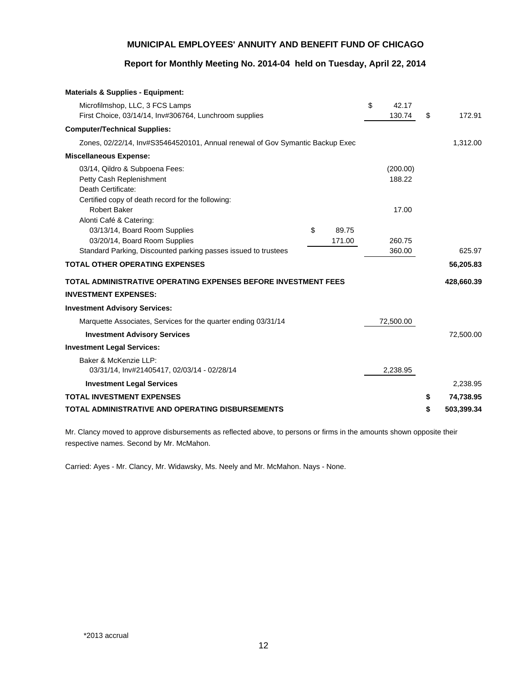## **Report for Monthly Meeting No. 2014-04 held on Tuesday, April 22, 2014**

| <b>Materials &amp; Supplies - Equipment:</b>                                  |             |             |                  |
|-------------------------------------------------------------------------------|-------------|-------------|------------------|
| Microfilmshop, LLC, 3 FCS Lamps                                               |             | \$<br>42.17 |                  |
| First Choice, 03/14/14, Inv#306764, Lunchroom supplies                        |             | 130.74      | \$<br>172.91     |
| <b>Computer/Technical Supplies:</b>                                           |             |             |                  |
| Zones, 02/22/14, Inv#S35464520101, Annual renewal of Gov Symantic Backup Exec |             |             | 1,312.00         |
| <b>Miscellaneous Expense:</b>                                                 |             |             |                  |
| 03/14, Qildro & Subpoena Fees:                                                |             | (200.00)    |                  |
| Petty Cash Replenishment                                                      |             | 188.22      |                  |
| Death Certificate:                                                            |             |             |                  |
| Certified copy of death record for the following:                             |             |             |                  |
| <b>Robert Baker</b>                                                           |             | 17.00       |                  |
| Alonti Café & Catering:                                                       |             |             |                  |
| 03/13/14, Board Room Supplies                                                 | \$<br>89.75 |             |                  |
| 03/20/14, Board Room Supplies                                                 | 171.00      | 260.75      |                  |
| Standard Parking, Discounted parking passes issued to trustees                |             | 360.00      | 625.97           |
| <b>TOTAL OTHER OPERATING EXPENSES</b>                                         |             |             | 56,205.83        |
| TOTAL ADMINISTRATIVE OPERATING EXPENSES BEFORE INVESTMENT FEES                |             |             | 428,660.39       |
| <b>INVESTMENT EXPENSES:</b>                                                   |             |             |                  |
| <b>Investment Advisory Services:</b>                                          |             |             |                  |
| Marquette Associates, Services for the quarter ending 03/31/14                |             | 72,500.00   |                  |
| <b>Investment Advisory Services</b>                                           |             |             | 72,500.00        |
| <b>Investment Legal Services:</b>                                             |             |             |                  |
| Baker & McKenzie LLP:                                                         |             |             |                  |
| 03/31/14, Inv#21405417, 02/03/14 - 02/28/14                                   |             | 2,238.95    |                  |
| <b>Investment Legal Services</b>                                              |             |             | 2,238.95         |
| <b>TOTAL INVESTMENT EXPENSES</b>                                              |             |             | \$<br>74,738.95  |
| TOTAL ADMINISTRATIVE AND OPERATING DISBURSEMENTS                              |             |             | \$<br>503,399.34 |

Mr. Clancy moved to approve disbursements as reflected above, to persons or firms in the amounts shown opposite their respective names. Second by Mr. McMahon.

Carried: Ayes - Mr. Clancy, Mr. Widawsky, Ms. Neely and Mr. McMahon. Nays - None.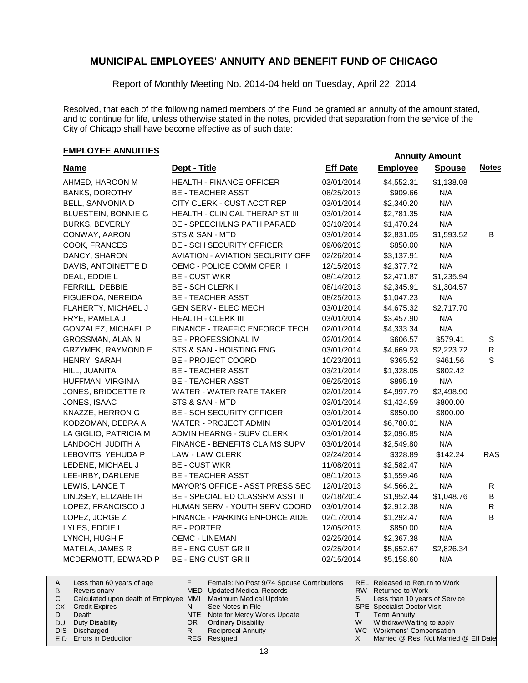Report of Monthly Meeting No. 2014-04 held on Tuesday, April 22, 2014

Resolved, that each of the following named members of the Fund be granted an annuity of the amount stated, and to continue for life, unless otherwise stated in the notes, provided that separation from the service of the City of Chicago shall have become effective as of such date:

# **EMPLOYEE ANNUITIES**<br> **EMPLOYEE ANNUITIES**

| <b>Name</b>                | Dept - Title                            | <b>Eff Date</b> | <b>Employee</b> | <b>Spouse</b> | <b>Notes</b> |
|----------------------------|-----------------------------------------|-----------------|-----------------|---------------|--------------|
| AHMED, HAROON M            | <b>HEALTH - FINANCE OFFICER</b>         | 03/01/2014      | \$4,552.31      | \$1,138.08    |              |
| <b>BANKS, DOROTHY</b>      | <b>BE - TEACHER ASST</b>                | 08/25/2013      | \$909.66        | N/A           |              |
| BELL, SANVONIA D           | CITY CLERK - CUST ACCT REP              | 03/01/2014      | \$2,340.20      | N/A           |              |
| <b>BLUESTEIN, BONNIE G</b> | HEALTH - CLINICAL THERAPIST III         | 03/01/2014      | \$2,781.35      | N/A           |              |
| <b>BURKS, BEVERLY</b>      | BE - SPEECH/LNG PATH PARAED             | 03/10/2014      | \$1,470.24      | N/A           |              |
| CONWAY, AARON              | STS & SAN - MTD                         | 03/01/2014      | \$2,831.05      | \$1,593.52    | B            |
| COOK, FRANCES              | <b>BE - SCH SECURITY OFFICER</b>        | 09/06/2013      | \$850.00        | N/A           |              |
| DANCY, SHARON              | <b>AVIATION - AVIATION SECURITY OFF</b> | 02/26/2014      | \$3,137.91      | N/A           |              |
| DAVIS, ANTOINETTE D        | OEMC - POLICE COMM OPER II              | 12/15/2013      | \$2,377.72      | N/A           |              |
| DEAL, EDDIE L              | <b>BE - CUST WKR</b>                    | 08/14/2012      | \$2,471.87      | \$1,235.94    |              |
| FERRILL, DEBBIE            | <b>BE - SCH CLERK I</b>                 | 08/14/2013      | \$2,345.91      | \$1,304.57    |              |
| FIGUEROA, NEREIDA          | <b>BE - TEACHER ASST</b>                | 08/25/2013      | \$1,047.23      | N/A           |              |
| FLAHERTY, MICHAEL J        | <b>GEN SERV - ELEC MECH</b>             | 03/01/2014      | \$4,675.32      | \$2,717.70    |              |
| FRYE, PAMELA J             | HEALTH - CLERK III                      | 03/01/2014      | \$3,457.90      | N/A           |              |
| GONZALEZ, MICHAEL P        | FINANCE - TRAFFIC ENFORCE TECH          | 02/01/2014      | \$4,333.34      | N/A           |              |
| GROSSMAN, ALAN N           | BE - PROFESSIONAL IV                    | 02/01/2014      | \$606.57        | \$579.41      | S            |
| <b>GRZYMEK, RAYMOND E</b>  | STS & SAN - HOISTING ENG                | 03/01/2014      | \$4,669.23      | \$2,223.72    | $\mathsf{R}$ |
| HENRY, SARAH               | <b>BE - PROJECT COORD</b>               | 10/23/2011      | \$365.52        | \$461.56      | $\mathbf S$  |
| HILL, JUANITA              | <b>BE - TEACHER ASST</b>                | 03/21/2014      | \$1,328.05      | \$802.42      |              |
| HUFFMAN, VIRGINIA          | <b>BE - TEACHER ASST</b>                | 08/25/2013      | \$895.19        | N/A           |              |
| JONES, BRIDGETTE R         | WATER - WATER RATE TAKER                | 02/01/2014      | \$4,997.79      | \$2,498.90    |              |
| JONES, ISAAC               | STS & SAN - MTD                         | 03/01/2014      | \$1,424.59      | \$800.00      |              |
| KNAZZE, HERRON G           | <b>BE - SCH SECURITY OFFICER</b>        | 03/01/2014      | \$850.00        | \$800.00      |              |
| KODZOMAN, DEBRA A          | WATER - PROJECT ADMIN                   | 03/01/2014      | \$6,780.01      | N/A           |              |
| LA GIGLIO, PATRICIA M      | ADMIN HEARNG - SUPV CLERK               | 03/01/2014      | \$2,096.85      | N/A           |              |
| LANDOCH, JUDITH A          | FINANCE - BENEFITS CLAIMS SUPV          | 03/01/2014      | \$2,549.80      | N/A           |              |
| LEBOVITS, YEHUDA P         | LAW - LAW CLERK                         | 02/24/2014      | \$328.89        | \$142.24      | <b>RAS</b>   |
| LEDENE, MICHAEL J          | <b>BE - CUST WKR</b>                    | 11/08/2011      | \$2,582.47      | N/A           |              |
| LEE-IRBY, DARLENE          | <b>BE - TEACHER ASST</b>                | 08/11/2013      | \$1,559.46      | N/A           |              |
| LEWIS, LANCE T             | MAYOR'S OFFICE - ASST PRESS SEC         | 12/01/2013      | \$4,566.21      | N/A           | R            |
| LINDSEY, ELIZABETH         | BE - SPECIAL ED CLASSRM ASST II         | 02/18/2014      | \$1,952.44      | \$1,048.76    | В            |
| LOPEZ, FRANCISCO J         | HUMAN SERV - YOUTH SERV COORD           | 03/01/2014      | \$2,912.38      | N/A           | R            |
| LOPEZ, JORGE Z             | FINANCE - PARKING ENFORCE AIDE          | 02/17/2014      | \$1,292.47      | N/A           | B            |
| LYLES, EDDIE L             | <b>BE - PORTER</b>                      | 12/05/2013      | \$850.00        | N/A           |              |
| LYNCH, HUGH F              | <b>OEMC - LINEMAN</b>                   | 02/25/2014      | \$2,367.38      | N/A           |              |
| MATELA, JAMES R            | <b>BE - ENG CUST GR II</b>              | 02/25/2014      | \$5,652.67      | \$2,826.34    |              |
| MCDERMOTT, EDWARD P        | <b>BE - ENG CUST GR II</b>              | 02/15/2014      | \$5,158.60      | N/A           |              |

| A   | Less than 60 years of age                                    |     | Female: No Post 9/74 Spouse Contr butions |   | REL Released to Return to Work        |
|-----|--------------------------------------------------------------|-----|-------------------------------------------|---|---------------------------------------|
| B   | Reversionary                                                 |     | MED Updated Medical Records               |   | RW Returned to Work                   |
|     | Calculated upon death of Employee MMI Maximum Medical Update |     |                                           | S | Less than 10 years of Service         |
| CX. | <b>Credit Expires</b>                                        |     | See Notes in File                         |   | <b>SPE</b> Specialist Doctor Visit    |
|     | Death                                                        |     | NTE Note for Mercy Works Update           |   | Term Annuity                          |
| DU. | Duty Disability                                              | OR. | <b>Ordinary Disability</b>                | W | Withdraw/Waiting to apply             |
|     | DIS Discharged                                               |     | <b>Reciprocal Annuity</b>                 |   | WC Workmens' Compensation             |
|     | <b>EID</b> Errors in Deduction                               |     | RES Resigned                              |   | Married @ Res, Not Married @ Eff Date |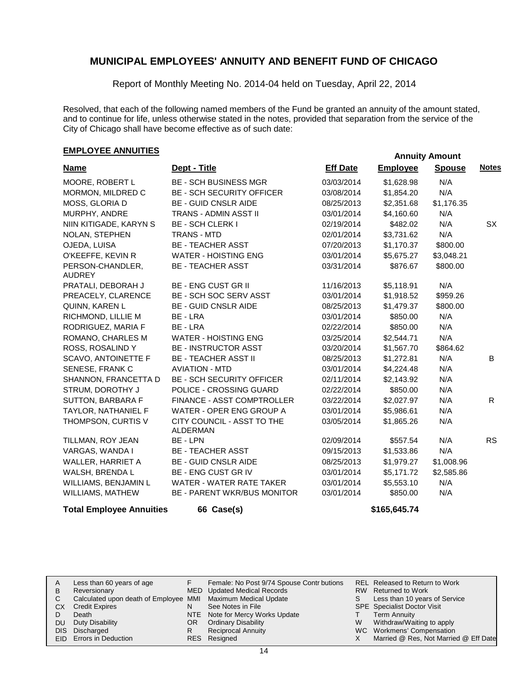Report of Monthly Meeting No. 2014-04 held on Tuesday, April 22, 2014

Resolved, that each of the following named members of the Fund be granted an annuity of the amount stated, and to continue for life, unless otherwise stated in the notes, provided that separation from the service of the City of Chicago shall have become effective as of such date:

# **EMPLOYEE ANNUITIES EMPLOYEE ANNUITIES**

| <b>Name</b>                       | Dept - Title                           | <b>Eff Date</b> | <b>Employee</b> | <b>Spouse</b> | <b>Notes</b> |
|-----------------------------------|----------------------------------------|-----------------|-----------------|---------------|--------------|
| MOORE, ROBERT L                   | <b>BE - SCH BUSINESS MGR</b>           | 03/03/2014      | \$1,628.98      | N/A           |              |
| MORMON, MILDRED C                 | <b>BE - SCH SECURITY OFFICER</b>       | 03/08/2014      | \$1,854.20      | N/A           |              |
| MOSS, GLORIA D                    | <b>BE - GUID CNSLR AIDE</b>            | 08/25/2013      | \$2,351.68      | \$1,176.35    |              |
| MURPHY, ANDRE                     | TRANS - ADMIN ASST II                  | 03/01/2014      | \$4,160.60      | N/A           |              |
| NIIN KITIGADE, KARYN S            | <b>BE - SCH CLERK I</b>                | 02/19/2014      | \$482.02        | N/A           | SX           |
| NOLAN, STEPHEN                    | <b>TRANS - MTD</b>                     | 02/01/2014      | \$3,731.62      | N/A           |              |
| OJEDA, LUISA                      | <b>BE - TEACHER ASST</b>               | 07/20/2013      | \$1,170.37      | \$800.00      |              |
| O'KEEFFE, KEVIN R                 | <b>WATER - HOISTING ENG</b>            | 03/01/2014      | \$5,675.27      | \$3,048.21    |              |
| PERSON-CHANDLER,<br><b>AUDREY</b> | <b>BE - TEACHER ASST</b>               | 03/31/2014      | \$876.67        | \$800.00      |              |
| PRATALI, DEBORAH J                | <b>BE - ENG CUST GR II</b>             | 11/16/2013      | \$5,118.91      | N/A           |              |
| PREACELY, CLARENCE                | BE - SCH SOC SERV ASST                 | 03/01/2014      | \$1,918.52      | \$959.26      |              |
| QUINN, KAREN L                    | <b>BE - GUID CNSLR AIDE</b>            | 08/25/2013      | \$1,479.37      | \$800.00      |              |
| RICHMOND, LILLIE M                | BE - LRA                               | 03/01/2014      | \$850.00        | N/A           |              |
| RODRIGUEZ, MARIA F                | BE - LRA                               | 02/22/2014      | \$850.00        | N/A           |              |
| ROMANO, CHARLES M                 | <b>WATER - HOISTING ENG</b>            | 03/25/2014      | \$2,544.71      | N/A           |              |
| ROSS, ROSALIND Y                  | <b>BE - INSTRUCTOR ASST</b>            | 03/20/2014      | \$1,567.70      | \$864.62      |              |
| <b>SCAVO, ANTOINETTE F</b>        | <b>BE - TEACHER ASST II</b>            | 08/25/2013      | \$1,272.81      | N/A           | B            |
| SENESE, FRANK C                   | <b>AVIATION - MTD</b>                  | 03/01/2014      | \$4,224.48      | N/A           |              |
| SHANNON, FRANCETTA D              | <b>BE - SCH SECURITY OFFICER</b>       | 02/11/2014      | \$2,143.92      | N/A           |              |
| STRUM, DOROTHY J                  | POLICE - CROSSING GUARD                | 02/22/2014      | \$850.00        | N/A           |              |
| SUTTON, BARBARA F                 | <b>FINANCE - ASST COMPTROLLER</b>      | 03/22/2014      | \$2,027.97      | N/A           | R.           |
| TAYLOR, NATHANIEL F               | WATER - OPER ENG GROUP A               | 03/01/2014      | \$5,986.61      | N/A           |              |
| THOMPSON, CURTIS V                | CITY COUNCIL - ASST TO THE<br>ALDERMAN | 03/05/2014      | \$1,865.26      | N/A           |              |
| TILLMAN, ROY JEAN                 | BE - LPN                               | 02/09/2014      | \$557.54        | N/A           | <b>RS</b>    |
| VARGAS, WANDA I                   | <b>BE - TEACHER ASST</b>               | 09/15/2013      | \$1,533.86      | N/A           |              |
| WALLER, HARRIET A                 | <b>BE - GUID CNSLR AIDE</b>            | 08/25/2013      | \$1,979.27      | \$1,008.96    |              |
| WALSH, BRENDA L                   | BE - ENG CUST GR IV                    | 03/01/2014      | \$5,171.72      | \$2,585.86    |              |
| WILLIAMS, BENJAMIN L              | WATER - WATER RATE TAKER               | 03/01/2014      | \$5,553.10      | N/A           |              |
| WILLIAMS, MATHEW                  | <b>BE - PARENT WKR/BUS MONITOR</b>     | 03/01/2014      | \$850.00        | N/A           |              |
| <b>Total Employee Annuities</b>   | 66 Case(s)                             |                 | \$165,645.74    |               |              |

| A  | Less than 60 years of age                                    |     | Female: No Post 9/74 Spouse Contr butions |    | REL Released to Return to Work        |
|----|--------------------------------------------------------------|-----|-------------------------------------------|----|---------------------------------------|
| В  | Reversionary                                                 |     | MED Updated Medical Records               |    | RW Returned to Work                   |
|    | Calculated upon death of Employee MMI Maximum Medical Update |     |                                           | S. | Less than 10 years of Service         |
| CХ | <b>Credit Expires</b>                                        | N   | See Notes in File                         |    | <b>SPE</b> Specialist Doctor Visit    |
|    | Death                                                        |     | NTE Note for Mercy Works Update           |    | <b>Term Annuity</b>                   |
| DU | Duty Disability                                              | OR. | <b>Ordinary Disability</b>                | W  | Withdraw/Waiting to apply             |
|    | DIS Discharged                                               | R   | <b>Reciprocal Annuity</b>                 |    | WC Workmens' Compensation             |
|    | EID Errors in Deduction                                      |     | RES Resigned                              |    | Married @ Res, Not Married @ Eff Date |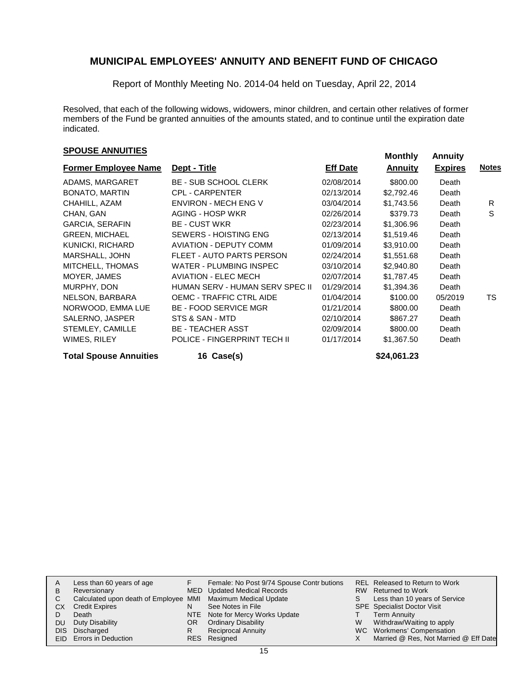Report of Monthly Meeting No. 2014-04 held on Tuesday, April 22, 2014

Resolved, that each of the following widows, widowers, minor children, and certain other relatives of former members of the Fund be granted annuities of the amounts stated, and to continue until the expiration date indicated.

# **SPOUSE ANNUITIES MONEXANGLE ANNUITIES**

| <b>Former Employee Name</b>   | Dept - Title                    | <b>Eff Date</b> | <b>Annuity</b> | <b>Expires</b> | <b>Notes</b> |  |
|-------------------------------|---------------------------------|-----------------|----------------|----------------|--------------|--|
| ADAMS, MARGARET               | <b>BE - SUB SCHOOL CLERK</b>    | 02/08/2014      | \$800.00       | Death          |              |  |
| <b>BONATO, MARTIN</b>         | <b>CPL - CARPENTER</b>          | 02/13/2014      | \$2,792.46     | Death          |              |  |
| CHAHILL, AZAM                 | <b>ENVIRON - MECH ENG V</b>     | 03/04/2014      | \$1,743.56     | Death          | R            |  |
| CHAN, GAN                     | AGING - HOSP WKR                | 02/26/2014      | \$379.73       | Death          | S            |  |
| <b>GARCIA, SERAFIN</b>        | <b>BE - CUST WKR</b>            | 02/23/2014      | \$1,306.96     | Death          |              |  |
| <b>GREEN, MICHAEL</b>         | SEWERS - HOISTING ENG           | 02/13/2014      | \$1,519.46     | Death          |              |  |
| KUNICKI, RICHARD              | <b>AVIATION - DEPUTY COMM</b>   | 01/09/2014      | \$3,910.00     | Death          |              |  |
| MARSHALL, JOHN                | FLEET - AUTO PARTS PERSON       | 02/24/2014      | \$1,551.68     | Death          |              |  |
| MITCHELL, THOMAS              | <b>WATER - PLUMBING INSPEC</b>  | 03/10/2014      | \$2,940.80     | Death          |              |  |
| MOYER, JAMES                  | <b>AVIATION - ELEC MECH</b>     | 02/07/2014      | \$1,787.45     | Death          |              |  |
| MURPHY, DON                   | HUMAN SERV - HUMAN SERV SPEC II | 01/29/2014      | \$1,394.36     | Death          |              |  |
| NELSON, BARBARA               | <b>OEMC - TRAFFIC CTRL AIDE</b> | 01/04/2014      | \$100.00       | 05/2019        | TS.          |  |
| NORWOOD, EMMA LUE             | <b>BE - FOOD SERVICE MGR</b>    | 01/21/2014      | \$800.00       | Death          |              |  |
| SALERNO, JASPER               | STS & SAN - MTD                 | 02/10/2014      | \$867.27       | Death          |              |  |
| STEMLEY, CAMILLE              | <b>BE - TEACHER ASST</b>        | 02/09/2014      | \$800.00       | Death          |              |  |
| WIMES, RILEY                  | POLICE - FINGERPRINT TECH II    | 01/17/2014      | \$1,367.50     | Death          |              |  |
| <b>Total Spouse Annuities</b> | 16 Case(s)                      |                 | \$24,061.23    |                |              |  |

| A    | Less than 60 years of age                                    |    | Female: No Post 9/74 Spouse Contr butions |   | REL Released to Return to Work        |
|------|--------------------------------------------------------------|----|-------------------------------------------|---|---------------------------------------|
| в    | Reversionary                                                 |    | MED Updated Medical Records               |   | RW Returned to Work                   |
| С    | Calculated upon death of Employee MMI Maximum Medical Update |    |                                           | S | Less than 10 years of Service         |
| CХ   | <b>Credit Expires</b>                                        | N  | See Notes in File                         |   | <b>SPE</b> Specialist Doctor Visit    |
|      | Death                                                        |    | NTE Note for Mercy Works Update           |   | <b>Term Annuity</b>                   |
| DU   | Duty Disability                                              | OR | <b>Ordinary Disability</b>                | W | Withdraw/Waiting to apply             |
| DIS. | Discharged                                                   | R  | <b>Reciprocal Annuity</b>                 |   | WC Workmens' Compensation             |
|      | EID Errors in Deduction                                      |    | RES Resigned                              |   | Married @ Res, Not Married @ Eff Date |
|      |                                                              |    |                                           |   |                                       |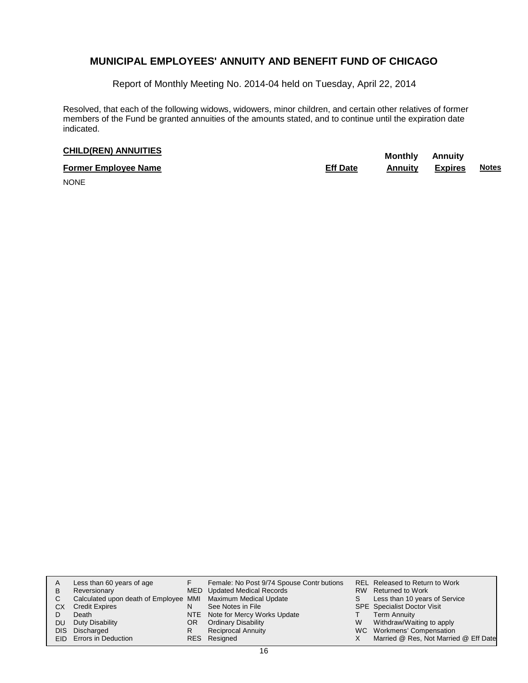Report of Monthly Meeting No. 2014-04 held on Tuesday, April 22, 2014

Resolved, that each of the following widows, widowers, minor children, and certain other relatives of former members of the Fund be granted annuities of the amounts stated, and to continue until the expiration date indicated.

# **CHILD(REN) ANNUITIES Monthly** Annuity

| <b>Former Employee Name</b> | <b>Eff Date</b> | <b>Annuity Expires</b> | <b>Notes</b> |
|-----------------------------|-----------------|------------------------|--------------|
| .                           |                 |                        |              |

NONE

| A<br>в<br>C<br>CХ<br>DU<br>DIS. | Less than 60 years of age<br>Reversionary<br>Calculated upon death of Employee MMI Maximum Medical Update<br><b>Credit Expires</b><br>Death<br>Duty Disability<br>Discharged<br><b>EID</b> Errors in Deduction | N<br>OR<br>R | Female: No Post 9/74 Spouse Contr butions<br>MED Updated Medical Records<br>See Notes in File<br>NTE Note for Mercy Works Update<br><b>Ordinary Disability</b><br><b>Reciprocal Annuity</b><br>RES Resigned | S<br>W<br>X. | REL Released to Return to Work<br>RW Returned to Work<br>Less than 10 years of Service<br><b>SPE</b> Specialist Doctor Visit<br><b>Term Annuity</b><br>Withdraw/Waiting to apply<br>WC Workmens' Compensation<br>Married @ Res, Not Married @ Eff Date |
|---------------------------------|----------------------------------------------------------------------------------------------------------------------------------------------------------------------------------------------------------------|--------------|-------------------------------------------------------------------------------------------------------------------------------------------------------------------------------------------------------------|--------------|--------------------------------------------------------------------------------------------------------------------------------------------------------------------------------------------------------------------------------------------------------|
|---------------------------------|----------------------------------------------------------------------------------------------------------------------------------------------------------------------------------------------------------------|--------------|-------------------------------------------------------------------------------------------------------------------------------------------------------------------------------------------------------------|--------------|--------------------------------------------------------------------------------------------------------------------------------------------------------------------------------------------------------------------------------------------------------|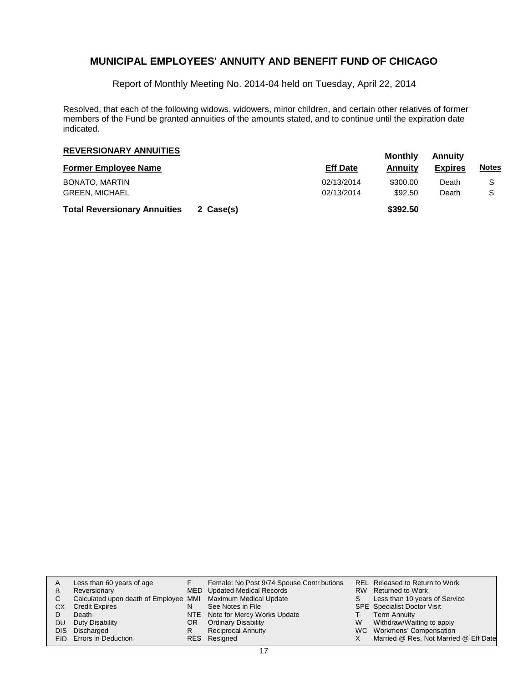Report of Monthly Meeting No. 2014-04 held on Tuesday, April 22, 2014

Resolved, that each of the following widows, widowers, minor children, and certain other relatives of former members of the Fund be granted annuities of the amounts stated, and to continue until the expiration date indicated.

| <b>REVERSIONARY ANNUITIES</b>       |           |                 | Monthly  | Annuitv        |              |  |
|-------------------------------------|-----------|-----------------|----------|----------------|--------------|--|
| <b>Former Employee Name</b>         |           | <b>Eff Date</b> | Annuitv  | <b>Expires</b> | <b>Notes</b> |  |
| BONATO, MARTIN                      |           | 02/13/2014      | \$300.00 | Death          | S            |  |
| <b>GREEN, MICHAEL</b>               |           | 02/13/2014      | \$92.50  | Death          | S            |  |
| <b>Total Reversionary Annuities</b> | 2 Case(s) |                 | \$392.50 |                |              |  |

| A    | Less than 60 years of age                                    |    | Female: No Post 9/74 Spouse Contr butions |   | REL Released to Return to Work        |
|------|--------------------------------------------------------------|----|-------------------------------------------|---|---------------------------------------|
| в    | Reversionary                                                 |    | MED Updated Medical Records               |   | RW Returned to Work                   |
| С    | Calculated upon death of Employee MMI Maximum Medical Update |    |                                           | S | Less than 10 years of Service         |
| СX   | <b>Credit Expires</b>                                        | N  | See Notes in File                         |   | <b>SPE</b> Specialist Doctor Visit    |
|      | Death                                                        |    | NTE Note for Mercy Works Update           |   | <b>Term Annuity</b>                   |
| DU   | Duty Disability                                              | OR | <b>Ordinary Disability</b>                | W | Withdraw/Waiting to apply             |
| DIS. | Discharged                                                   | R  | <b>Reciprocal Annuity</b>                 |   | WC Workmens' Compensation             |
|      | <b>EID</b> Errors in Deduction                               |    | RES Resigned                              |   | Married @ Res, Not Married @ Eff Date |
|      |                                                              |    |                                           |   |                                       |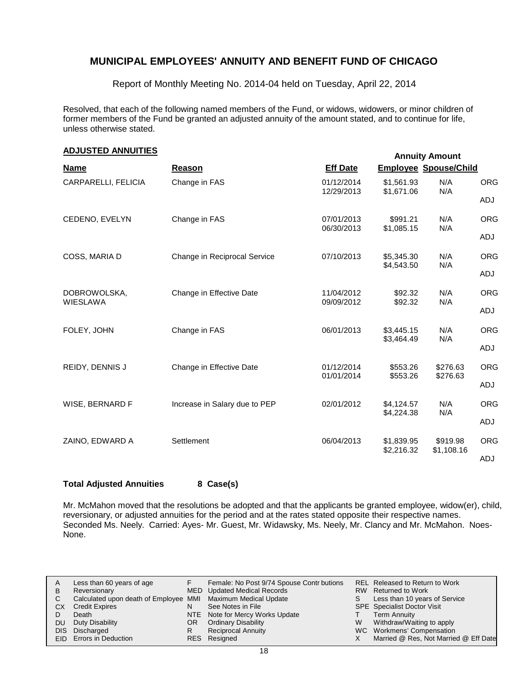Report of Monthly Meeting No. 2014-04 held on Tuesday, April 22, 2014

Resolved, that each of the following named members of the Fund, or widows, widowers, or minor children of former members of the Fund be granted an adjusted annuity of the amount stated, and to continue for life, unless otherwise stated.

| <b>ADJUSTED ANNUITIES</b><br><b>Annuity Amount</b> |                               |                          |                              |                      |            |  |  |  |
|----------------------------------------------------|-------------------------------|--------------------------|------------------------------|----------------------|------------|--|--|--|
| <b>Name</b>                                        | Reason                        | <b>Eff Date</b>          | <b>Employee Spouse/Child</b> |                      |            |  |  |  |
| CARPARELLI, FELICIA                                | Change in FAS                 | 01/12/2014               | \$1,561.93                   | N/A                  | <b>ORG</b> |  |  |  |
|                                                    |                               | 12/29/2013               | \$1,671.06                   | N/A                  | ADJ        |  |  |  |
| CEDENO, EVELYN                                     | Change in FAS                 | 07/01/2013<br>06/30/2013 | \$991.21<br>\$1,085.15       | N/A<br>N/A           | <b>ORG</b> |  |  |  |
|                                                    |                               |                          |                              |                      | ADJ        |  |  |  |
| COSS, MARIA D                                      | Change in Reciprocal Service  | 07/10/2013               | \$5,345.30<br>\$4,543.50     | N/A<br>N/A           | <b>ORG</b> |  |  |  |
|                                                    |                               |                          |                              |                      | ADJ        |  |  |  |
| DOBROWOLSKA,<br><b>WIESLAWA</b>                    | Change in Effective Date      | 11/04/2012<br>09/09/2012 | \$92.32<br>\$92.32           | N/A<br>N/A           | <b>ORG</b> |  |  |  |
|                                                    |                               |                          |                              |                      | ADJ        |  |  |  |
| FOLEY, JOHN                                        | Change in FAS                 | 06/01/2013               | \$3,445.15<br>\$3,464.49     | N/A<br>N/A           | <b>ORG</b> |  |  |  |
|                                                    |                               |                          |                              |                      | ADJ        |  |  |  |
| REIDY, DENNIS J                                    | Change in Effective Date      | 01/12/2014<br>01/01/2014 | \$553.26<br>\$553.26         | \$276.63<br>\$276.63 | <b>ORG</b> |  |  |  |
|                                                    |                               |                          |                              |                      | ADJ        |  |  |  |
| WISE, BERNARD F                                    | Increase in Salary due to PEP | 02/01/2012               | \$4,124.57<br>\$4,224.38     | N/A<br>N/A           | <b>ORG</b> |  |  |  |
|                                                    |                               |                          |                              |                      | ADJ        |  |  |  |
| ZAINO, EDWARD A                                    | Settlement                    | 06/04/2013               | \$1,839.95                   | \$919.98             | <b>ORG</b> |  |  |  |
|                                                    |                               |                          | \$2,216.32                   | \$1,108.16           | ADJ        |  |  |  |

## **Total Adjusted Annuities 8 Case(s)**

Mr. McMahon moved that the resolutions be adopted and that the applicants be granted employee, widow(er), child, reversionary, or adjusted annuities for the period and at the rates stated opposite their respective names. Seconded Ms. Neely. Carried: Ayes- Mr. Guest, Mr. Widawsky, Ms. Neely, Mr. Clancy and Mr. McMahon. Noes-None.

|      | Less than 60 years of age                                    |     | Female: No Post 9/74 Spouse Contr butions |   | REL Released to Return to Work        |
|------|--------------------------------------------------------------|-----|-------------------------------------------|---|---------------------------------------|
| B    | Reversionary                                                 |     | MED Updated Medical Records               |   | RW Returned to Work                   |
|      | Calculated upon death of Employee MMI Maximum Medical Update |     |                                           |   | Less than 10 years of Service         |
| СX   | <b>Credit Expires</b>                                        |     | See Notes in File                         |   | <b>SPE</b> Specialist Doctor Visit    |
|      | Death                                                        |     | NTE Note for Mercy Works Update           |   | Term Annuity                          |
| DU   | Duty Disability                                              | OR. | <b>Ordinary Disability</b>                | W | Withdraw/Waiting to apply             |
| DIS. | Discharged                                                   |     | <b>Reciprocal Annuity</b>                 |   | WC Workmens' Compensation             |
|      | EID Errors in Deduction                                      |     | RES Resigned                              |   | Married @ Res, Not Married @ Eff Date |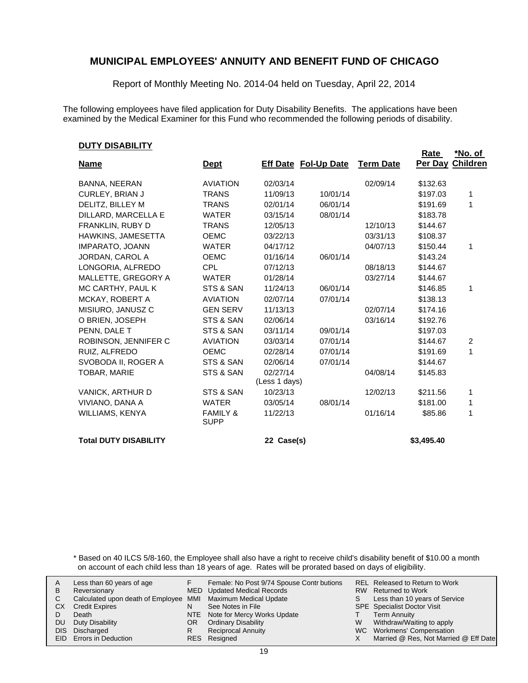Report of Monthly Meeting No. 2014-04 held on Tuesday, April 22, 2014

The following employees have filed application for Duty Disability Benefits. The applications have been examined by the Medical Examiner for this Fund who recommended the following periods of disability.

### **DUTY DISABILITY**

|                              |                                    |                           |                             |                  | Rate       | <u>*No. of</u>   |
|------------------------------|------------------------------------|---------------------------|-----------------------------|------------------|------------|------------------|
| <b>Name</b>                  | <u>Dept</u>                        |                           | <b>Eff Date Fol-Up Date</b> | <b>Term Date</b> |            | Per Day Children |
| <b>BANNA, NEERAN</b>         | <b>AVIATION</b>                    | 02/03/14                  |                             | 02/09/14         | \$132.63   |                  |
| <b>CURLEY, BRIAN J</b>       | <b>TRANS</b>                       | 11/09/13                  | 10/01/14                    |                  | \$197.03   | 1                |
| DELITZ, BILLEY M             | <b>TRANS</b>                       | 02/01/14                  | 06/01/14                    |                  | \$191.69   | 1                |
| DILLARD, MARCELLA E          | <b>WATER</b>                       | 03/15/14                  | 08/01/14                    |                  | \$183.78   |                  |
| FRANKLIN, RUBY D             | <b>TRANS</b>                       | 12/05/13                  |                             | 12/10/13         | \$144.67   |                  |
| HAWKINS, JAMESETTA           | <b>OEMC</b>                        | 03/22/13                  |                             | 03/31/13         | \$108.37   |                  |
| <b>IMPARATO, JOANN</b>       | <b>WATER</b>                       | 04/17/12                  |                             | 04/07/13         | \$150.44   | 1                |
| JORDAN, CAROL A              | <b>OEMC</b>                        | 01/16/14                  | 06/01/14                    |                  | \$143.24   |                  |
| LONGORIA, ALFREDO            | <b>CPL</b>                         | 07/12/13                  |                             | 08/18/13         | \$144.67   |                  |
| MALLETTE, GREGORY A          | <b>WATER</b>                       | 01/28/14                  |                             | 03/27/14         | \$144.67   |                  |
| MC CARTHY, PAUL K            | STS & SAN                          | 11/24/13                  | 06/01/14                    |                  | \$146.85   | 1                |
| MCKAY, ROBERT A              | <b>AVIATION</b>                    | 02/07/14                  | 07/01/14                    |                  | \$138.13   |                  |
| MISIURO, JANUSZ C            | <b>GEN SERV</b>                    | 11/13/13                  |                             | 02/07/14         | \$174.16   |                  |
| O BRIEN, JOSEPH              | STS & SAN                          | 02/06/14                  |                             | 03/16/14         | \$192.76   |                  |
| PENN. DALE T                 | STS & SAN                          | 03/11/14                  | 09/01/14                    |                  | \$197.03   |                  |
| ROBINSON, JENNIFER C         | <b>AVIATION</b>                    | 03/03/14                  | 07/01/14                    |                  | \$144.67   | 2                |
| RUIZ. ALFREDO                | <b>OEMC</b>                        | 02/28/14                  | 07/01/14                    |                  | \$191.69   | 1                |
| SVOBODA II, ROGER A          | STS & SAN                          | 02/06/14                  | 07/01/14                    |                  | \$144.67   |                  |
| TOBAR, MARIE                 | STS & SAN                          | 02/27/14<br>(Less 1 days) |                             | 04/08/14         | \$145.83   |                  |
| VANICK, ARTHUR D             | STS & SAN                          | 10/23/13                  |                             | 12/02/13         | \$211.56   | 1                |
| VIVIANO, DANA A              | <b>WATER</b>                       | 03/05/14                  | 08/01/14                    |                  | \$181.00   | 1                |
| WILLIAMS, KENYA              | <b>FAMILY &amp;</b><br><b>SUPP</b> | 11/22/13                  |                             | 01/16/14         | \$85.86    | 1                |
| <b>Total DUTY DISABILITY</b> |                                    | 22 Case(s)                |                             |                  | \$3,495.40 |                  |

\* Based on 40 ILCS 5/8-160, the Employee shall also have a right to receive child's disability benefit of \$10.00 a month on account of each child less than 18 years of age. Rates will be prorated based on days of eligibility.

| A         | Less than 60 years of age                                    |    | Female: No Post 9/74 Spouse Contr butions |   | <b>REL Released to Return to Work</b> |
|-----------|--------------------------------------------------------------|----|-------------------------------------------|---|---------------------------------------|
| B         | Reversionary                                                 |    | MED Updated Medical Records               |   | RW Returned to Work                   |
|           | Calculated upon death of Employee MMI Maximum Medical Update |    |                                           |   | Less than 10 years of Service         |
| <b>CX</b> | <b>Credit Expires</b>                                        | N  | See Notes in File                         |   | <b>SPE</b> Specialist Doctor Visit    |
|           | Death                                                        |    | NTE Note for Mercy Works Update           |   | <b>Term Annuity</b>                   |
| DU.       | Duty Disability                                              | OR | <b>Ordinary Disability</b>                | W | Withdraw/Waiting to apply             |
|           | DIS Discharged                                               | R  | <b>Reciprocal Annuity</b>                 |   | WC Workmens' Compensation             |
|           | <b>EID</b> Errors in Deduction                               |    | RES Resigned                              |   | Married @ Res, Not Married @ Eff Date |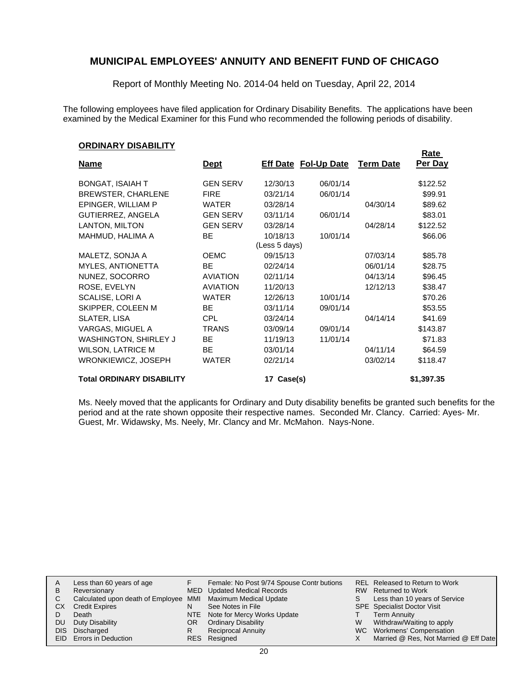Report of Monthly Meeting No. 2014-04 held on Tuesday, April 22, 2014

The following employees have filed application for Ordinary Disability Benefits. The applications have been examined by the Medical Examiner for this Fund who recommended the following periods of disability.

### **ORDINARY DISABILITY**

|                                  |                 |                             |          |                  | <u>Rate</u> |
|----------------------------------|-----------------|-----------------------------|----------|------------------|-------------|
| <b>Name</b>                      | <u>Dept</u>     | <b>Eff Date Fol-Up Date</b> |          | <b>Term Date</b> | Per Day     |
| <b>BONGAT, ISAIAH T</b>          | <b>GEN SERV</b> | 12/30/13                    | 06/01/14 |                  | \$122.52    |
| <b>BREWSTER, CHARLENE</b>        | <b>FIRE</b>     | 03/21/14                    | 06/01/14 |                  | \$99.91     |
| EPINGER, WILLIAM P               | <b>WATER</b>    | 03/28/14                    |          | 04/30/14         | \$89.62     |
| GUTIERREZ, ANGELA                | <b>GEN SERV</b> | 03/11/14                    | 06/01/14 |                  | \$83.01     |
| LANTON, MILTON                   | <b>GEN SERV</b> | 03/28/14                    |          | 04/28/14         | \$122.52    |
| MAHMUD, HALIMA A                 | <b>BE</b>       | 10/18/13<br>(Less 5 days)   | 10/01/14 |                  | \$66.06     |
| MALETZ, SONJA A                  | <b>OEMC</b>     | 09/15/13                    |          | 07/03/14         | \$85.78     |
| MYLES, ANTIONETTA                | BE.             | 02/24/14                    |          | 06/01/14         | \$28.75     |
| NUNEZ, SOCORRO                   | <b>AVIATION</b> | 02/11/14                    |          | 04/13/14         | \$96.45     |
| ROSE, EVELYN                     | <b>AVIATION</b> | 11/20/13                    |          | 12/12/13         | \$38.47     |
| SCALISE, LORI A                  | <b>WATER</b>    | 12/26/13                    | 10/01/14 |                  | \$70.26     |
| SKIPPER, COLEEN M                | <b>BE</b>       | 03/11/14                    | 09/01/14 |                  | \$53.55     |
| SLATER, LISA                     | <b>CPL</b>      | 03/24/14                    |          | 04/14/14         | \$41.69     |
| VARGAS, MIGUEL A                 | <b>TRANS</b>    | 03/09/14                    | 09/01/14 |                  | \$143.87    |
| <b>WASHINGTON, SHIRLEY J</b>     | <b>BE</b>       | 11/19/13                    | 11/01/14 |                  | \$71.83     |
| <b>WILSON, LATRICE M</b>         | <b>BE</b>       | 03/01/14                    |          | 04/11/14         | \$64.59     |
| WRONKIEWICZ, JOSEPH              | <b>WATER</b>    | 02/21/14                    |          | 03/02/14         | \$118.47    |
| <b>Total ORDINARY DISABILITY</b> |                 | 17 Case(s)                  |          |                  | \$1,397.35  |

Ms. Neely moved that the applicants for Ordinary and Duty disability benefits be granted such benefits for the period and at the rate shown opposite their respective names. Seconded Mr. Clancy. Carried: Ayes- Mr. Guest, Mr. Widawsky, Ms. Neely, Mr. Clancy and Mr. McMahon. Nays-None.

| A   | Less than 60 years of age                                    |     | Female: No Post 9/74 Spouse Contr butions |    | <b>REL Released to Return to Work</b> |
|-----|--------------------------------------------------------------|-----|-------------------------------------------|----|---------------------------------------|
| B   | Reversionary                                                 |     | MED Updated Medical Records               |    | RW Returned to Work                   |
|     | Calculated upon death of Employee MMI Maximum Medical Update |     |                                           | S. | Less than 10 years of Service         |
| СX  | <b>Credit Expires</b>                                        | N   | See Notes in File                         |    | SPE Specialist Doctor Visit           |
|     | Death                                                        |     | NTE Note for Mercy Works Update           |    | <b>Term Annuity</b>                   |
| DU. | Duty Disability                                              | OR. | <b>Ordinary Disability</b>                | W  | Withdraw/Waiting to apply             |
|     | DIS Discharged                                               | R   | <b>Reciprocal Annuity</b>                 |    | WC Workmens' Compensation             |
|     | EID Errors in Deduction                                      |     | RES Resigned                              |    | Married @ Res, Not Married @ Eff Date |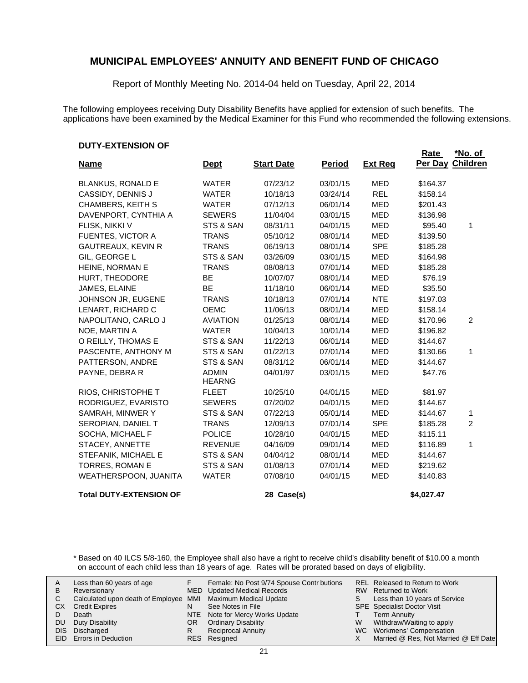Report of Monthly Meeting No. 2014-04 held on Tuesday, April 22, 2014

The following employees receiving Duty Disability Benefits have applied for extension of such benefits. The applications have been examined by the Medical Examiner for this Fund who recommended the following extensions.

### **DUTY-EXTENSION OF**

|                                |                               |                   |               |                | <b>Rate</b> | <u>*No. of</u>  |
|--------------------------------|-------------------------------|-------------------|---------------|----------------|-------------|-----------------|
| <b>Name</b>                    | <b>Dept</b>                   | <b>Start Date</b> | <b>Period</b> | <b>Ext Reg</b> | Per Day     | <b>Children</b> |
| <b>BLANKUS, RONALD E</b>       | <b>WATER</b>                  | 07/23/12          | 03/01/15      | <b>MED</b>     | \$164.37    |                 |
| CASSIDY, DENNIS J              | <b>WATER</b>                  | 10/18/13          | 03/24/14      | <b>REL</b>     | \$158.14    |                 |
| <b>CHAMBERS, KEITH S</b>       | <b>WATER</b>                  | 07/12/13          | 06/01/14      | MED            | \$201.43    |                 |
| DAVENPORT, CYNTHIA A           | <b>SEWERS</b>                 | 11/04/04          | 03/01/15      | <b>MED</b>     | \$136.98    |                 |
| FLISK, NIKKI V                 | STS & SAN                     | 08/31/11          | 04/01/15      | <b>MED</b>     | \$95.40     | 1               |
| FUENTES, VICTOR A              | <b>TRANS</b>                  | 05/10/12          | 08/01/14      | <b>MED</b>     | \$139.50    |                 |
| <b>GAUTREAUX, KEVIN R</b>      | <b>TRANS</b>                  | 06/19/13          | 08/01/14      | <b>SPE</b>     | \$185.28    |                 |
| GIL, GEORGE L                  | STS & SAN                     | 03/26/09          | 03/01/15      | MED            | \$164.98    |                 |
| HEINE, NORMAN E                | <b>TRANS</b>                  | 08/08/13          | 07/01/14      | <b>MED</b>     | \$185.28    |                 |
| HURT, THEODORE                 | <b>BE</b>                     | 10/07/07          | 08/01/14      | <b>MED</b>     | \$76.19     |                 |
| JAMES, ELAINE                  | BE                            | 11/18/10          | 06/01/14      | MED            | \$35.50     |                 |
| JOHNSON JR, EUGENE             | <b>TRANS</b>                  | 10/18/13          | 07/01/14      | <b>NTE</b>     | \$197.03    |                 |
| LENART, RICHARD C              | <b>OEMC</b>                   | 11/06/13          | 08/01/14      | <b>MED</b>     | \$158.14    |                 |
| NAPOLITANO, CARLO J            | <b>AVIATION</b>               | 01/25/13          | 08/01/14      | <b>MED</b>     | \$170.96    | $\overline{c}$  |
| NOE, MARTIN A                  | <b>WATER</b>                  | 10/04/13          | 10/01/14      | <b>MED</b>     | \$196.82    |                 |
| O REILLY, THOMAS E             | STS & SAN                     | 11/22/13          | 06/01/14      | MED            | \$144.67    |                 |
| PASCENTE, ANTHONY M            | STS & SAN                     | 01/22/13          | 07/01/14      | MED            | \$130.66    | 1               |
| PATTERSON, ANDRE               | STS & SAN                     | 08/31/12          | 06/01/14      | <b>MED</b>     | \$144.67    |                 |
| PAYNE, DEBRA R                 | <b>ADMIN</b><br><b>HEARNG</b> | 04/01/97          | 03/01/15      | <b>MED</b>     | \$47.76     |                 |
| RIOS, CHRISTOPHE T             | <b>FLEET</b>                  | 10/25/10          | 04/01/15      | MED            | \$81.97     |                 |
| RODRIGUEZ, EVARISTO            | <b>SEWERS</b>                 | 07/20/02          | 04/01/15      | <b>MED</b>     | \$144.67    |                 |
| SAMRAH, MINWER Y               | STS & SAN                     | 07/22/13          | 05/01/14      | <b>MED</b>     | \$144.67    | 1               |
| SEROPIAN, DANIEL T             | <b>TRANS</b>                  | 12/09/13          | 07/01/14      | <b>SPE</b>     | \$185.28    | $\overline{c}$  |
| SOCHA, MICHAEL F               | <b>POLICE</b>                 | 10/28/10          | 04/01/15      | <b>MED</b>     | \$115.11    |                 |
| STACEY, ANNETTE                | <b>REVENUE</b>                | 04/16/09          | 09/01/14      | <b>MED</b>     | \$116.89    | 1               |
| STEFANIK, MICHAEL E            | STS & SAN                     | 04/04/12          | 08/01/14      | MED            | \$144.67    |                 |
| TORRES, ROMAN E                | STS & SAN                     | 01/08/13          | 07/01/14      | <b>MED</b>     | \$219.62    |                 |
| WEATHERSPOON, JUANITA          | <b>WATER</b>                  | 07/08/10          | 04/01/15      | MED            | \$140.83    |                 |
| <b>Total DUTY-EXTENSION OF</b> |                               | 28 Case(s)        |               |                | \$4,027.47  |                 |

\* Based on 40 ILCS 5/8-160, the Employee shall also have a right to receive child's disability benefit of \$10.00 a month on account of each child less than 18 years of age. Rates will be prorated based on days of eligibility.

| A<br>в<br>СX<br>DU<br>DIS. | Less than 60 years of age<br>Reversionary<br>Calculated upon death of Employee MMI Maximum Medical Update<br><b>Credit Expires</b><br>Death<br>Duty Disability<br>Discharged<br>EID Errors in Deduction | N<br>OR<br>R | Female: No Post 9/74 Spouse Contr butions<br>MED Updated Medical Records<br>See Notes in File<br>NTE Note for Mercy Works Update<br><b>Ordinary Disability</b><br><b>Reciprocal Annuity</b><br>RES Resigned | S<br>W | REL Released to Return to Work<br>RW Returned to Work<br>Less than 10 years of Service<br><b>SPE</b> Specialist Doctor Visit<br>Term Annuity<br>Withdraw/Waiting to apply<br>WC Workmens' Compensation<br>Married @ Res, Not Married @ Eff Date |
|----------------------------|---------------------------------------------------------------------------------------------------------------------------------------------------------------------------------------------------------|--------------|-------------------------------------------------------------------------------------------------------------------------------------------------------------------------------------------------------------|--------|-------------------------------------------------------------------------------------------------------------------------------------------------------------------------------------------------------------------------------------------------|
|----------------------------|---------------------------------------------------------------------------------------------------------------------------------------------------------------------------------------------------------|--------------|-------------------------------------------------------------------------------------------------------------------------------------------------------------------------------------------------------------|--------|-------------------------------------------------------------------------------------------------------------------------------------------------------------------------------------------------------------------------------------------------|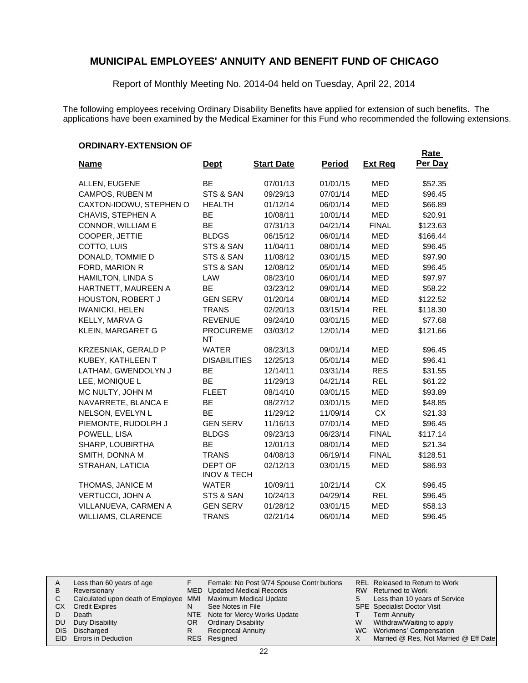Report of Monthly Meeting No. 2014-04 held on Tuesday, April 22, 2014

The following employees receiving Ordinary Disability Benefits have applied for extension of such benefits. The applications have been examined by the Medical Examiner for this Fund who recommended the following extensions.

## **ORDINARY-EXTENSION OF**

|                            |                                   |                   |               |                | <b>Rate</b> |
|----------------------------|-----------------------------------|-------------------|---------------|----------------|-------------|
| <b>Name</b>                | <b>Dept</b>                       | <b>Start Date</b> | <b>Period</b> | <b>Ext Reg</b> | Per Day     |
| ALLEN, EUGENE              | <b>BE</b>                         | 07/01/13          | 01/01/15      | MED            | \$52.35     |
| CAMPOS, RUBEN M            | STS & SAN                         | 09/29/13          | 07/01/14      | <b>MED</b>     | \$96.45     |
| CAXTON-IDOWU, STEPHEN O    | <b>HEALTH</b>                     | 01/12/14          | 06/01/14      | <b>MED</b>     | \$66.89     |
| CHAVIS, STEPHEN A          | <b>BE</b>                         | 10/08/11          | 10/01/14      | <b>MED</b>     | \$20.91     |
| CONNOR, WILLIAM E          | <b>BE</b>                         | 07/31/13          | 04/21/14      | <b>FINAL</b>   | \$123.63    |
| COOPER, JETTIE             | <b>BLDGS</b>                      | 06/15/12          | 06/01/14      | <b>MED</b>     | \$166.44    |
| COTTO, LUIS                | STS & SAN                         | 11/04/11          | 08/01/14      | <b>MED</b>     | \$96.45     |
| DONALD, TOMMIE D           | STS & SAN                         | 11/08/12          | 03/01/15      | <b>MED</b>     | \$97.90     |
| FORD, MARION R             | STS & SAN                         | 12/08/12          | 05/01/14      | MED            | \$96.45     |
| HAMILTON, LINDA S          | LAW                               | 08/23/10          | 06/01/14      | <b>MED</b>     | \$97.97     |
| HARTNETT, MAUREEN A        | <b>BE</b>                         | 03/23/12          | 09/01/14      | <b>MED</b>     | \$58.22     |
| <b>HOUSTON, ROBERT J</b>   | <b>GEN SERV</b>                   | 01/20/14          | 08/01/14      | <b>MED</b>     | \$122.52    |
| <b>IWANICKI, HELEN</b>     | <b>TRANS</b>                      | 02/20/13          | 03/15/14      | <b>REL</b>     | \$118.30    |
| KELLY, MARVA G             | <b>REVENUE</b>                    | 09/24/10          | 03/01/15      | <b>MED</b>     | \$77.68     |
| KLEIN, MARGARET G          | <b>PROCUREME</b><br>NT            | 03/03/12          | 12/01/14      | <b>MED</b>     | \$121.66    |
| <b>KRZESNIAK, GERALD P</b> | <b>WATER</b>                      | 08/23/13          | 09/01/14      | <b>MED</b>     | \$96.45     |
| KUBEY, KATHLEEN T          | <b>DISABILITIES</b>               | 12/25/13          | 05/01/14      | <b>MED</b>     | \$96.41     |
| LATHAM, GWENDOLYN J        | <b>BE</b>                         | 12/14/11          | 03/31/14      | <b>RES</b>     | \$31.55     |
| LEE, MONIQUE L             | BE                                | 11/29/13          | 04/21/14      | <b>REL</b>     | \$61.22     |
| MC NULTY, JOHN M           | <b>FLEET</b>                      | 08/14/10          | 03/01/15      | <b>MED</b>     | \$93.89     |
| NAVARRETE, BLANCA E        | <b>BE</b>                         | 08/27/12          | 03/01/15      | <b>MED</b>     | \$48.85     |
| NELSON, EVELYN L           | <b>BE</b>                         | 11/29/12          | 11/09/14      | <b>CX</b>      | \$21.33     |
| PIEMONTE, RUDOLPH J        | <b>GEN SERV</b>                   | 11/16/13          | 07/01/14      | <b>MED</b>     | \$96.45     |
| POWELL, LISA               | <b>BLDGS</b>                      | 09/23/13          | 06/23/14      | <b>FINAL</b>   | \$117.14    |
| SHARP, LOUBIRTHA           | <b>BE</b>                         | 12/01/13          | 08/01/14      | <b>MED</b>     | \$21.34     |
| SMITH, DONNA M             | <b>TRANS</b>                      | 04/08/13          | 06/19/14      | <b>FINAL</b>   | \$128.51    |
| STRAHAN, LATICIA           | DEPT OF<br><b>INOV &amp; TECH</b> | 02/12/13          | 03/01/15      | <b>MED</b>     | \$86.93     |
| THOMAS, JANICE M           | <b>WATER</b>                      | 10/09/11          | 10/21/14      | <b>CX</b>      | \$96.45     |
| <b>VERTUCCI, JOHN A</b>    | STS & SAN                         | 10/24/13          | 04/29/14      | <b>REL</b>     | \$96.45     |
| VILLANUEVA, CARMEN A       | <b>GEN SERV</b>                   | 01/28/12          | 03/01/15      | <b>MED</b>     | \$58.13     |
| WILLIAMS, CLARENCE         | <b>TRANS</b>                      | 02/21/14          | 06/01/14      | <b>MED</b>     | \$96.45     |

| A    | Less than 60 years of age                                    |    | Female: No Post 9/74 Spouse Contr butions |    | REL Released to Return to Work        |
|------|--------------------------------------------------------------|----|-------------------------------------------|----|---------------------------------------|
| в    | Reversionary                                                 |    | MED Updated Medical Records               |    | RW Returned to Work                   |
|      | Calculated upon death of Employee MMI Maximum Medical Update |    |                                           | S. | Less than 10 years of Service         |
| СX   | <b>Credit Expires</b>                                        | N  | See Notes in File                         |    | <b>SPE</b> Specialist Doctor Visit    |
|      | Death                                                        |    | NTE Note for Mercy Works Update           |    | <b>Term Annuity</b>                   |
| DU   | Duty Disability                                              | OR | <b>Ordinary Disability</b>                | W  | Withdraw/Waiting to apply             |
| DIS. | Discharged                                                   | R  | <b>Reciprocal Annuity</b>                 |    | WC Workmens' Compensation             |
|      | EID Errors in Deduction                                      |    | RES Resigned                              |    | Married @ Res, Not Married @ Eff Date |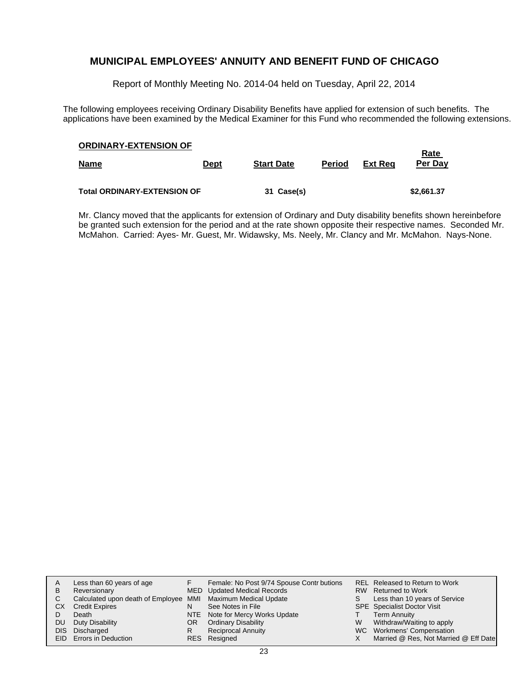Report of Monthly Meeting No. 2014-04 held on Tuesday, April 22, 2014

The following employees receiving Ordinary Disability Benefits have applied for extension of such benefits. The applications have been examined by the Medical Examiner for this Fund who recommended the following extensions.

| <b>ORDINARY-EXTENSION OF</b>       |             |                   |               |         | Rate       |
|------------------------------------|-------------|-------------------|---------------|---------|------------|
| <b>Name</b>                        | <u>Dept</u> | <b>Start Date</b> | <b>Period</b> | Ext Reg | Per Day    |
|                                    |             |                   |               |         |            |
| <b>Total ORDINARY-EXTENSION OF</b> |             | 31 Case(s)        |               |         | \$2,661.37 |

Mr. Clancy moved that the applicants for extension of Ordinary and Duty disability benefits shown hereinbefore be granted such extension for the period and at the rate shown opposite their respective names. Seconded Mr. McMahon. Carried: Ayes- Mr. Guest, Mr. Widawsky, Ms. Neely, Mr. Clancy and Mr. McMahon. Nays-None.

|    | Less than 60 years of age                                    |    | Female: No Post 9/74 Spouse Contr butions |    | REL Released to Return to Work        |
|----|--------------------------------------------------------------|----|-------------------------------------------|----|---------------------------------------|
| в  | Reversionary                                                 |    | <b>MED</b> Updated Medical Records        |    | RW Returned to Work                   |
| C. | Calculated upon death of Employee MMI Maximum Medical Update |    |                                           | S. | Less than 10 years of Service         |
| СX | <b>Credit Expires</b>                                        | N  | See Notes in File                         |    | <b>SPE</b> Specialist Doctor Visit    |
|    | Death                                                        |    | NTE Note for Mercy Works Update           |    | <b>Term Annuity</b>                   |
| DU | Duty Disability                                              | OR | <b>Ordinary Disability</b>                | W  | Withdraw/Waiting to apply             |
|    | DIS Discharged                                               | R  | <b>Reciprocal Annuity</b>                 |    | WC Workmens' Compensation             |
|    | <b>EID</b> Errors in Deduction                               |    | RES Resigned                              |    | Married @ Res, Not Married @ Eff Date |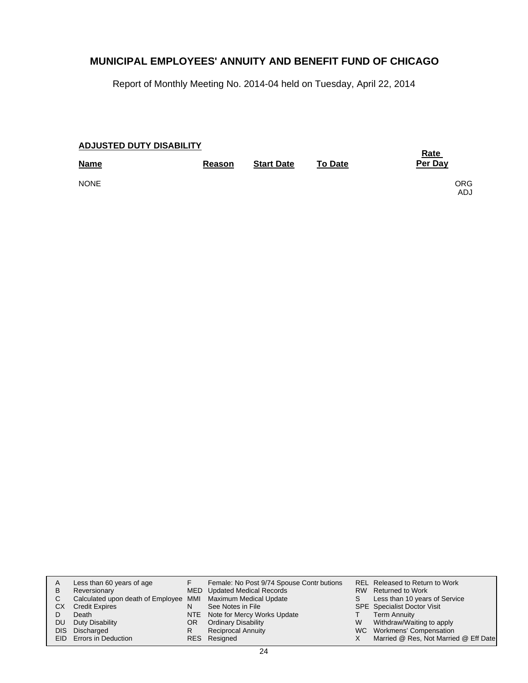Report of Monthly Meeting No. 2014-04 held on Tuesday, April 22, 2014

| <b>ADJUSTED DUTY DISABILITY</b> | <u>Rate</u>   |                   |                |              |
|---------------------------------|---------------|-------------------|----------------|--------------|
| <b>Name</b>                     | <b>Reason</b> | <b>Start Date</b> | <b>To Date</b> | Per Day      |
| <b>NONE</b>                     |               |                   |                | ORG.<br>ADJ. |

| A    | Less than 60 years of age                                    |    | Female: No Post 9/74 Spouse Contr butions |   | <b>REL Released to Return to Work</b> |
|------|--------------------------------------------------------------|----|-------------------------------------------|---|---------------------------------------|
| в    | Reversionary                                                 |    | MED Updated Medical Records               |   | RW Returned to Work                   |
| C.   | Calculated upon death of Employee MMI Maximum Medical Update |    |                                           |   | Less than 10 years of Service         |
| СX   | <b>Credit Expires</b>                                        | N  | See Notes in File                         |   | <b>SPE</b> Specialist Doctor Visit    |
|      | Death                                                        |    | NTE Note for Mercy Works Update           |   | <b>Term Annuity</b>                   |
| DU   | Duty Disability                                              | OR | <b>Ordinary Disability</b>                | W | Withdraw/Waiting to apply             |
| DIS. | Discharged                                                   | R  | <b>Reciprocal Annuity</b>                 |   | WC Workmens' Compensation             |
|      | EID Errors in Deduction                                      |    | RES Resigned                              |   | Married @ Res, Not Married @ Eff Date |
|      |                                                              |    |                                           |   |                                       |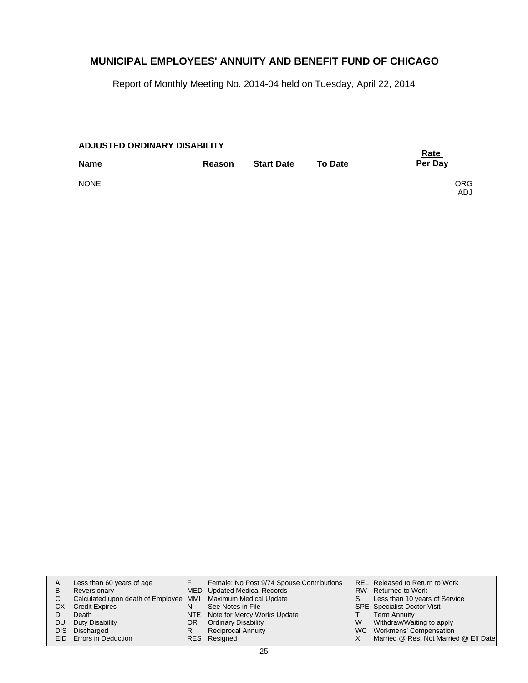Report of Monthly Meeting No. 2014-04 held on Tuesday, April 22, 2014

| <b>ADJUSTED ORDINARY DISABILITY</b> | <u>Rate</u> |                   |                |              |
|-------------------------------------|-------------|-------------------|----------------|--------------|
| <b>Name</b>                         | Reason      | <b>Start Date</b> | <b>To Date</b> | Per Day      |
| <b>NONE</b>                         |             |                   |                | ORG.<br>ADJ. |

| A<br>B     | Less than 60 years of age<br>Reversionary                    |    | Female: No Post 9/74 Spouse Contr butions<br>MED Updated Medical Records |   | REL Released to Return to Work<br>RW Returned to Work |
|------------|--------------------------------------------------------------|----|--------------------------------------------------------------------------|---|-------------------------------------------------------|
| C          | Calculated upon death of Employee MMI Maximum Medical Update |    |                                                                          | S | Less than 10 years of Service                         |
| СX         | <b>Credit Expires</b>                                        | N  | See Notes in File                                                        |   | <b>SPE</b> Specialist Doctor Visit                    |
|            | Death                                                        |    | NTE Note for Mercy Works Update                                          |   | <b>Term Annuity</b>                                   |
| DU.        | Duty Disability                                              | OR | <b>Ordinary Disability</b>                                               | W | Withdraw/Waiting to apply                             |
| <b>DIS</b> | Discharged                                                   | R  | <b>Reciprocal Annuity</b>                                                |   | WC Workmens' Compensation                             |
|            | <b>EID</b> Errors in Deduction                               |    | RES Resigned                                                             |   | Married @ Res, Not Married @ Eff Date                 |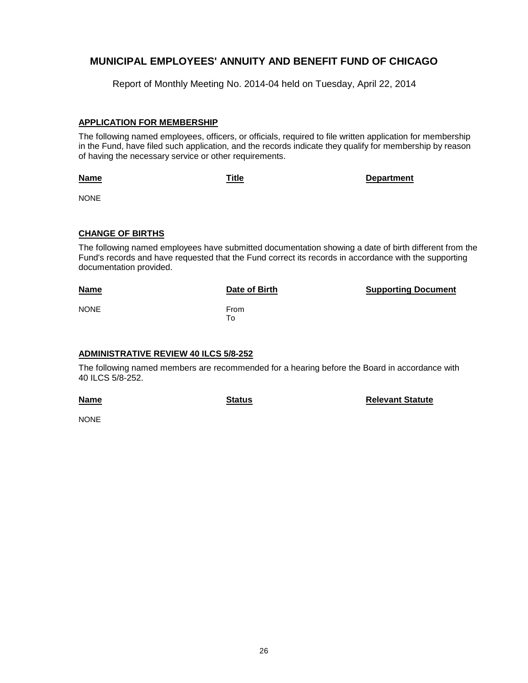Report of Monthly Meeting No. 2014-04 held on Tuesday, April 22, 2014

## **APPLICATION FOR MEMBERSHIP**

The following named employees, officers, or officials, required to file written application for membership in the Fund, have filed such application, and the records indicate they qualify for membership by reason of having the necessary service or other requirements.

**Name**

**Title Department**

NONE

### **CHANGE OF BIRTHS**

The following named employees have submitted documentation showing a date of birth different from the Fund's records and have requested that the Fund correct its records in accordance with the supporting documentation provided.

| <b>Name</b> | Date of Birth | <b>Supporting Document</b> |
|-------------|---------------|----------------------------|
| <b>NONE</b> | From<br>To    |                            |

## **ADMINISTRATIVE REVIEW 40 ILCS 5/8-252**

The following named members are recommended for a hearing before the Board in accordance with 40 ILCS 5/8-252.

**Name**

**Status Relevant Statute**

**NONE**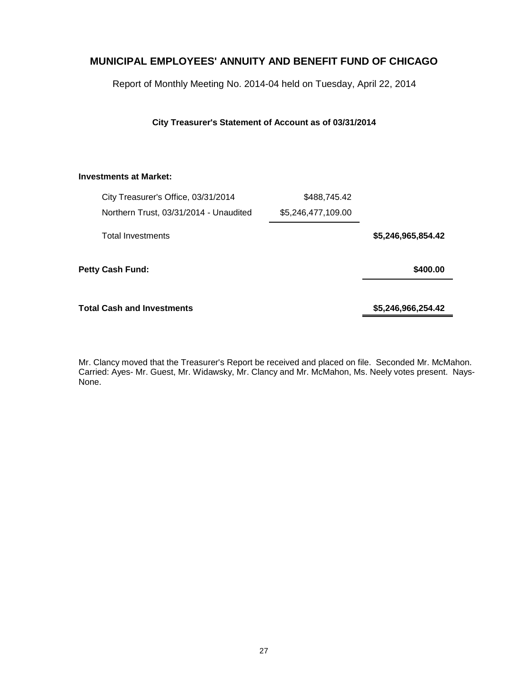Report of Monthly Meeting No. 2014-04 held on Tuesday, April 22, 2014

## **City Treasurer's Statement of Account as of 03/31/2014**

## **Investments at Market:**

|                  | City Treasurer's Office, 03/31/2014    | \$488,745.42       |                    |
|------------------|----------------------------------------|--------------------|--------------------|
|                  | Northern Trust, 03/31/2014 - Unaudited | \$5,246,477,109.00 |                    |
|                  | <b>Total Investments</b>               |                    | \$5,246,965,854.42 |
| Petty Cash Fund: |                                        |                    | \$400.00           |
|                  | <b>Total Cash and Investments</b>      |                    | \$5,246,966,254.42 |

Mr. Clancy moved that the Treasurer's Report be received and placed on file. Seconded Mr. McMahon. Carried: Ayes- Mr. Guest, Mr. Widawsky, Mr. Clancy and Mr. McMahon, Ms. Neely votes present. Nays-None.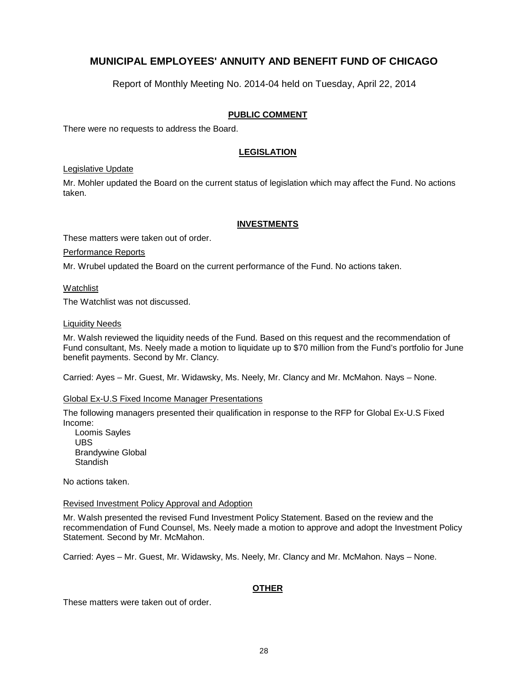Report of Monthly Meeting No. 2014-04 held on Tuesday, April 22, 2014

## **PUBLIC COMMENT**

There were no requests to address the Board.

## **LEGISLATION**

### Legislative Update

Mr. Mohler updated the Board on the current status of legislation which may affect the Fund. No actions taken.

## **INVESTMENTS**

These matters were taken out of order.

Performance Reports

Mr. Wrubel updated the Board on the current performance of the Fund. No actions taken.

Watchlist

The Watchlist was not discussed.

## Liquidity Needs

Mr. Walsh reviewed the liquidity needs of the Fund. Based on this request and the recommendation of Fund consultant, Ms. Neely made a motion to liquidate up to \$70 million from the Fund's portfolio for June benefit payments. Second by Mr. Clancy.

Carried: Ayes – Mr. Guest, Mr. Widawsky, Ms. Neely, Mr. Clancy and Mr. McMahon. Nays – None.

### Global Ex-U.S Fixed Income Manager Presentations

The following managers presented their qualification in response to the RFP for Global Ex-U.S Fixed Income:

 Loomis Sayles UBS Brandywine Global **Standish** 

No actions taken.

### Revised Investment Policy Approval and Adoption

Mr. Walsh presented the revised Fund Investment Policy Statement. Based on the review and the recommendation of Fund Counsel, Ms. Neely made a motion to approve and adopt the Investment Policy Statement. Second by Mr. McMahon.

Carried: Ayes – Mr. Guest, Mr. Widawsky, Ms. Neely, Mr. Clancy and Mr. McMahon. Nays – None.

## **OTHER**

These matters were taken out of order.